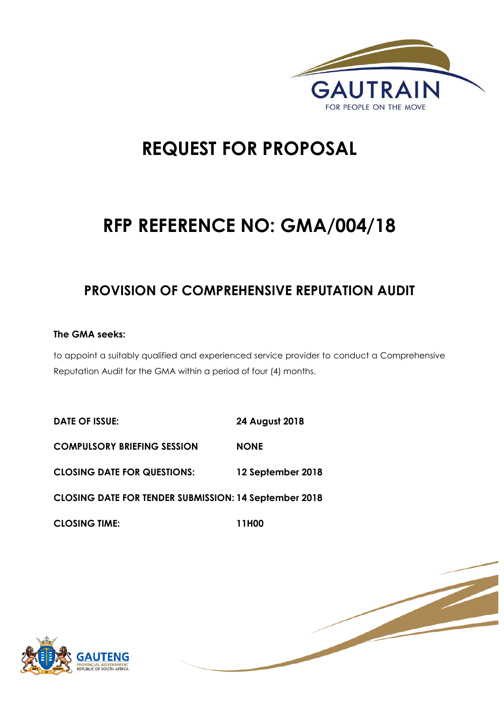

# **REQUEST FOR PROPOSAL**

# **RFP REFERENCE NO: GMA/004/18**

### **PROVISION OF COMPREHENSIVE REPUTATION AUDIT**

#### **The GMA seeks:**

to appoint a suitably qualified and experienced service provider to conduct a Comprehensive Reputation Audit for the GMA within a period of four (4) months.

**DATE OF ISSUE: 24 August 2018 COMPULSORY BRIEFING SESSION NONE CLOSING DATE FOR QUESTIONS: 12 September 2018 CLOSING DATE FOR TENDER SUBMISSION: 14 September 2018 CLOSING TIME: 11H00** 



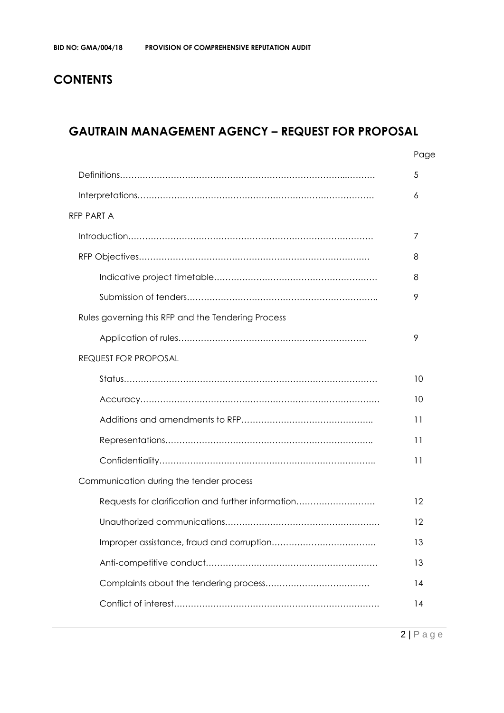### **CONTENTS**

### **GAUTRAIN MANAGEMENT AGENCY – REQUEST FOR PROPOSAL**

|                                                    | Page |
|----------------------------------------------------|------|
|                                                    | 5    |
|                                                    | 6    |
| <b>RFP PART A</b>                                  |      |
|                                                    | 7    |
|                                                    | 8    |
|                                                    | 8    |
|                                                    | 9    |
| Rules governing this RFP and the Tendering Process |      |
|                                                    | 9    |
| <b>REQUEST FOR PROPOSAL</b>                        |      |
|                                                    | 10   |
|                                                    | 10   |
|                                                    | 11   |
|                                                    | 11   |
|                                                    | 11   |
| Communication during the tender process            |      |
| Requests for clarification and further information | 12   |
|                                                    | 12   |
|                                                    | 13   |
|                                                    | 13   |
|                                                    | 14   |
|                                                    | 14   |
|                                                    |      |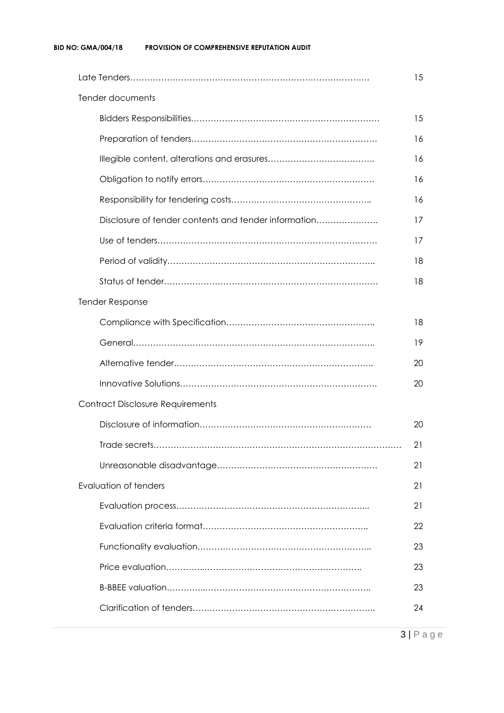|                                         | Tender documents                                     |    |  |  |  |
|-----------------------------------------|------------------------------------------------------|----|--|--|--|
|                                         |                                                      | 15 |  |  |  |
|                                         |                                                      | 16 |  |  |  |
|                                         |                                                      | 16 |  |  |  |
|                                         |                                                      | 16 |  |  |  |
|                                         |                                                      | 16 |  |  |  |
|                                         | Disclosure of tender contents and tender information | 17 |  |  |  |
|                                         |                                                      | 17 |  |  |  |
|                                         |                                                      | 18 |  |  |  |
|                                         |                                                      | 18 |  |  |  |
|                                         | <b>Tender Response</b>                               |    |  |  |  |
|                                         |                                                      | 18 |  |  |  |
|                                         |                                                      | 19 |  |  |  |
|                                         |                                                      | 20 |  |  |  |
|                                         |                                                      | 20 |  |  |  |
| <b>Contract Disclosure Requirements</b> |                                                      |    |  |  |  |
|                                         |                                                      | 20 |  |  |  |
|                                         |                                                      | 21 |  |  |  |
|                                         |                                                      | 21 |  |  |  |
|                                         | <b>Evaluation of tenders</b>                         | 21 |  |  |  |
|                                         |                                                      | 21 |  |  |  |
|                                         |                                                      | 22 |  |  |  |
|                                         |                                                      | 23 |  |  |  |
|                                         |                                                      | 23 |  |  |  |
|                                         |                                                      | 23 |  |  |  |
|                                         |                                                      | 24 |  |  |  |
|                                         |                                                      |    |  |  |  |

3 | P a g e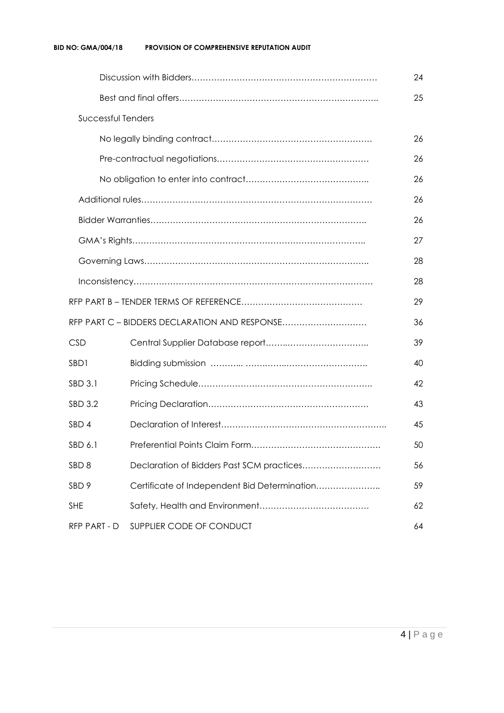| <b>Successful Tenders</b>                                     |                                               |    |  |  |  |
|---------------------------------------------------------------|-----------------------------------------------|----|--|--|--|
|                                                               |                                               |    |  |  |  |
|                                                               |                                               |    |  |  |  |
|                                                               |                                               |    |  |  |  |
|                                                               |                                               |    |  |  |  |
|                                                               |                                               |    |  |  |  |
|                                                               |                                               | 27 |  |  |  |
|                                                               |                                               | 28 |  |  |  |
|                                                               | 28                                            |    |  |  |  |
| 29                                                            |                                               |    |  |  |  |
|                                                               | RFP PART C - BIDDERS DECLARATION AND RESPONSE | 36 |  |  |  |
| <b>CSD</b>                                                    |                                               | 39 |  |  |  |
| SB <sub>D</sub> 1                                             |                                               | 40 |  |  |  |
| SBD 3.1                                                       |                                               | 42 |  |  |  |
| SBD 3.2                                                       |                                               | 43 |  |  |  |
| SBD <sub>4</sub>                                              |                                               |    |  |  |  |
| SBD 6.1                                                       |                                               |    |  |  |  |
| SBD <sub>8</sub><br>Declaration of Bidders Past SCM practices |                                               | 56 |  |  |  |
| SBD <sub>9</sub>                                              | Certificate of Independent Bid Determination  | 59 |  |  |  |
| <b>SHE</b>                                                    | 62                                            |    |  |  |  |
| RFP PART - D                                                  | SUPPLIER CODE OF CONDUCT<br>64                |    |  |  |  |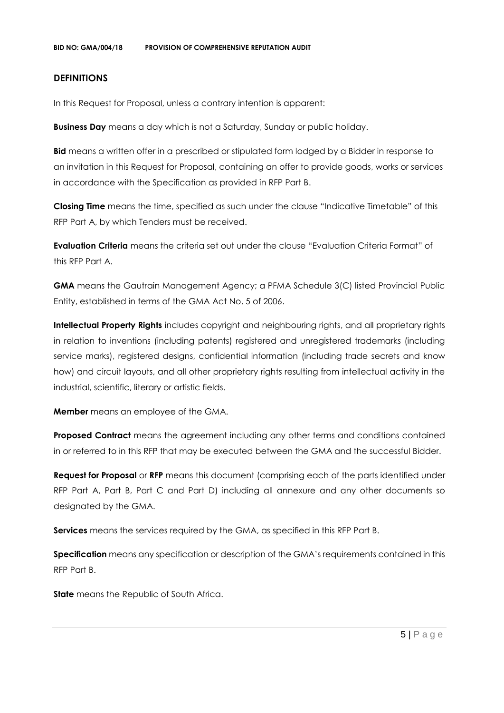#### **DEFINITIONS**

In this Request for Proposal, unless a contrary intention is apparent:

**Business Day** means a day which is not a Saturday, Sunday or public holiday.

**Bid** means a written offer in a prescribed or stipulated form lodged by a Bidder in response to an invitation in this Request for Proposal, containing an offer to provide goods, works or services in accordance with the Specification as provided in RFP Part B.

**Closing Time** means the time, specified as such under the clause "Indicative Timetable" of this RFP Part A, by which Tenders must be received.

**Evaluation Criteria** means the criteria set out under the clause "Evaluation Criteria Format" of this RFP Part A.

**GMA** means the Gautrain Management Agency; a PFMA Schedule 3(C) listed Provincial Public Entity, established in terms of the GMA Act No. 5 of 2006.

**Intellectual Property Rights** includes copyright and neighbouring rights, and all proprietary rights in relation to inventions (including patents) registered and unregistered trademarks (including service marks), registered designs, confidential information (including trade secrets and know how) and circuit layouts, and all other proprietary rights resulting from intellectual activity in the industrial, scientific, literary or artistic fields.

**Member** means an employee of the GMA.

**Proposed Contract** means the agreement including any other terms and conditions contained in or referred to in this RFP that may be executed between the GMA and the successful Bidder.

**Request for Proposal** or **RFP** means this document (comprising each of the parts identified under RFP Part A, Part B, Part C and Part D) including all annexure and any other documents so designated by the GMA.

**Services** means the services required by the GMA, as specified in this RFP Part B.

**Specification** means any specification or description of the GMA's requirements contained in this RFP Part B.

**State** means the Republic of South Africa.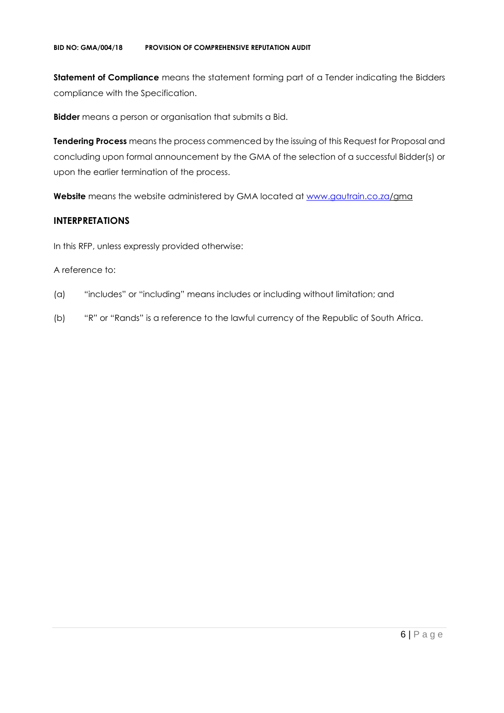**Statement of Compliance** means the statement forming part of a Tender indicating the Bidders compliance with the Specification.

**Bidder** means a person or organisation that submits a Bid.

**Tendering Process** means the process commenced by the issuing of this Request for Proposal and concluding upon formal announcement by the GMA of the selection of a successful Bidder(s) or upon the earlier termination of the process.

**Website** means the website administered by GMA located at [www.gautrain.co.za/](http://www.gautrain.co.za/)gma

#### **INTERPRETATIONS**

In this RFP, unless expressly provided otherwise:

#### A reference to:

- (a) "includes" or "including" means includes or including without limitation; and
- (b) "R" or "Rands" is a reference to the lawful currency of the Republic of South Africa.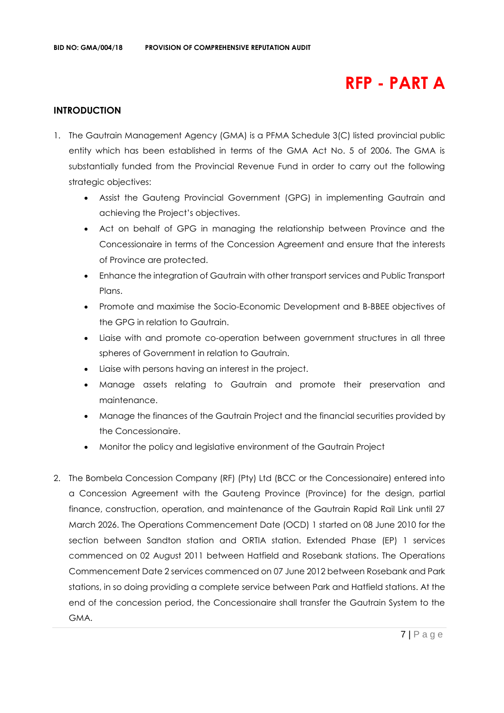## **RFP - PART A**

#### **INTRODUCTION**

- 1. The Gautrain Management Agency (GMA) is a PFMA Schedule 3(C) listed provincial public entity which has been established in terms of the GMA Act No. 5 of 2006. The GMA is substantially funded from the Provincial Revenue Fund in order to carry out the following strategic objectives:
	- Assist the Gauteng Provincial Government (GPG) in implementing Gautrain and achieving the Project's objectives.
	- Act on behalf of GPG in managing the relationship between Province and the Concessionaire in terms of the Concession Agreement and ensure that the interests of Province are protected.
	- Enhance the integration of Gautrain with other transport services and Public Transport Plans.
	- Promote and maximise the Socio-Economic Development and B-BBEE objectives of the GPG in relation to Gautrain.
	- Liaise with and promote co-operation between government structures in all three spheres of Government in relation to Gautrain.
	- Liaise with persons having an interest in the project.
	- Manage assets relating to Gautrain and promote their preservation and maintenance.
	- Manage the finances of the Gautrain Project and the financial securities provided by the Concessionaire.
	- Monitor the policy and legislative environment of the Gautrain Project
- 2. The Bombela Concession Company (RF) (Pty) Ltd (BCC or the Concessionaire) entered into a Concession Agreement with the Gauteng Province (Province) for the design, partial finance, construction, operation, and maintenance of the Gautrain Rapid Rail Link until 27 March 2026. The Operations Commencement Date (OCD) 1 started on 08 June 2010 for the section between Sandton station and ORTIA station. Extended Phase (EP) 1 services commenced on 02 August 2011 between Hatfield and Rosebank stations. The Operations Commencement Date 2 services commenced on 07 June 2012 between Rosebank and Park stations, in so doing providing a complete service between Park and Hatfield stations. At the end of the concession period, the Concessionaire shall transfer the Gautrain System to the GMA.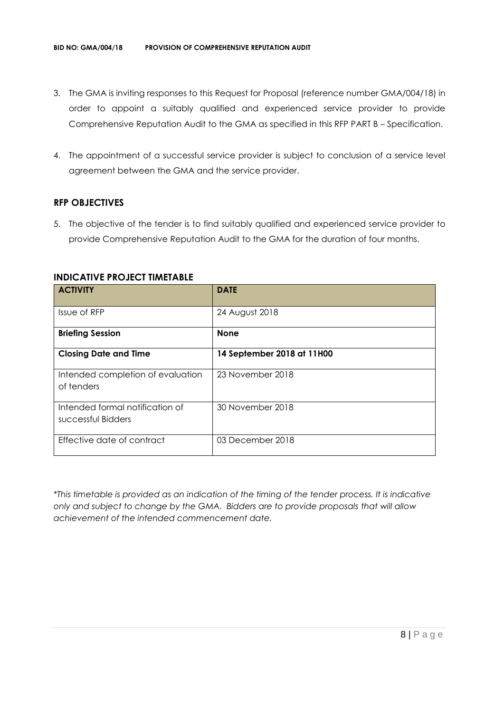- 3. The GMA is inviting responses to this Request for Proposal (reference number GMA/004/18) in order to appoint a suitably qualified and experienced service provider to provide Comprehensive Reputation Audit to the GMA as specified in this RFP PART B – Specification.
- 4. The appointment of a successful service provider is subject to conclusion of a service level agreement between the GMA and the service provider.

#### **RFP OBJECTIVES**

5. The objective of the tender is to find suitably qualified and experienced service provider to provide Comprehensive Reputation Audit to the GMA for the duration of four months.

| <b>ACTIVITY</b>                                       | <b>DATE</b>                |
|-------------------------------------------------------|----------------------------|
| Issue of RFP                                          | 24 August 2018             |
| <b>Briefing Session</b>                               | <b>None</b>                |
| <b>Closing Date and Time</b>                          | 14 September 2018 at 11H00 |
| Intended completion of evaluation<br>of tenders       | 23 November 2018           |
| Intended formal notification of<br>successful Bidders | 30 November 2018           |
| Effective date of contract                            | 03 December 2018           |

#### **INDICATIVE PROJECT TIMETABLE**

*\*This timetable is provided as an indication of the timing of the tender process. It is indicative only and subject to change by the GMA. Bidders are to provide proposals that will allow achievement of the intended commencement date.*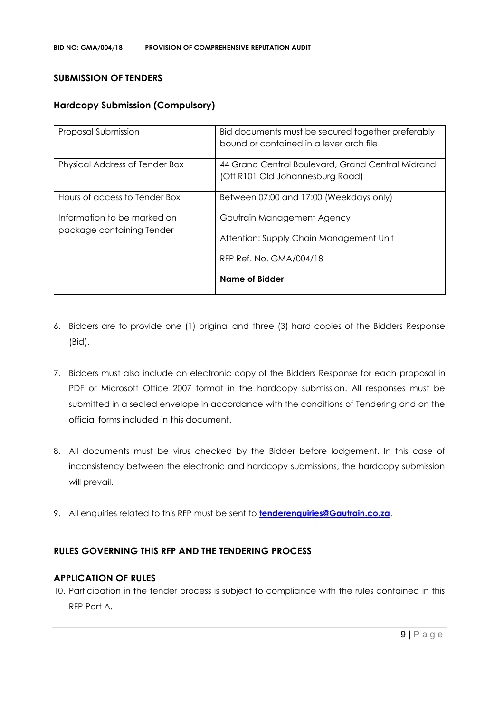#### **SUBMISSION OF TENDERS**

#### **Hardcopy Submission (Compulsory)**

| Proposal Submission                                      | Bid documents must be secured together preferably<br>bound or contained in a lever arch file |
|----------------------------------------------------------|----------------------------------------------------------------------------------------------|
| Physical Address of Tender Box                           | 44 Grand Central Boulevard, Grand Central Midrand<br>(Off R101 Old Johannesburg Road)        |
| Hours of access to Tender Box                            | Between 07:00 and 17:00 (Weekdays only)                                                      |
| Information to be marked on<br>package containing Tender | Gautrain Management Agency<br>Attention: Supply Chain Management Unit                        |
|                                                          | RFP Ref. No. GMA/004/18<br><b>Name of Bidder</b>                                             |

- 6. Bidders are to provide one (1) original and three (3) hard copies of the Bidders Response (Bid).
- 7. Bidders must also include an electronic copy of the Bidders Response for each proposal in PDF or Microsoft Office 2007 format in the hardcopy submission. All responses must be submitted in a sealed envelope in accordance with the conditions of Tendering and on the official forms included in this document.
- 8. All documents must be virus checked by the Bidder before lodgement. In this case of inconsistency between the electronic and hardcopy submissions, the hardcopy submission will prevail.
- 9. All enquiries related to this RFP must be sent to **[tenderenquiries@Gautrain.co.za](mailto:tenderenquiries@Gautrain.co.za)**.

#### **RULES GOVERNING THIS RFP AND THE TENDERING PROCESS**

#### **APPLICATION OF RULES**

10. Participation in the tender process is subject to compliance with the rules contained in this RFP Part A.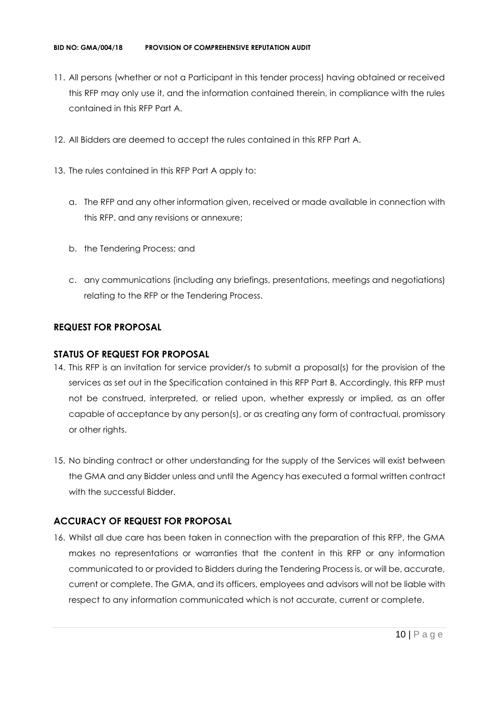- 11. All persons (whether or not a Participant in this tender process) having obtained or received this RFP may only use it, and the information contained therein, in compliance with the rules contained in this RFP Part A.
- 12. All Bidders are deemed to accept the rules contained in this RFP Part A.
- 13. The rules contained in this RFP Part A apply to:
	- a. The RFP and any other information given, received or made available in connection with this RFP, and any revisions or annexure;
	- b. the Tendering Process; and
	- c. any communications (including any briefings, presentations, meetings and negotiations) relating to the RFP or the Tendering Process.

#### **REQUEST FOR PROPOSAL**

#### **STATUS OF REQUEST FOR PROPOSAL**

- 14. This RFP is an invitation for service provider/s to submit a proposal(s) for the provision of the services as set out in the Specification contained in this RFP Part B. Accordingly, this RFP must not be construed, interpreted, or relied upon, whether expressly or implied, as an offer capable of acceptance by any person(s), or as creating any form of contractual, promissory or other rights.
- 15. No binding contract or other understanding for the supply of the Services will exist between the GMA and any Bidder unless and until the Agency has executed a formal written contract with the successful Bidder.

#### **ACCURACY OF REQUEST FOR PROPOSAL**

16. Whilst all due care has been taken in connection with the preparation of this RFP, the GMA makes no representations or warranties that the content in this RFP or any information communicated to or provided to Bidders during the Tendering Process is, or will be, accurate, current or complete. The GMA, and its officers, employees and advisors will not be liable with respect to any information communicated which is not accurate, current or complete.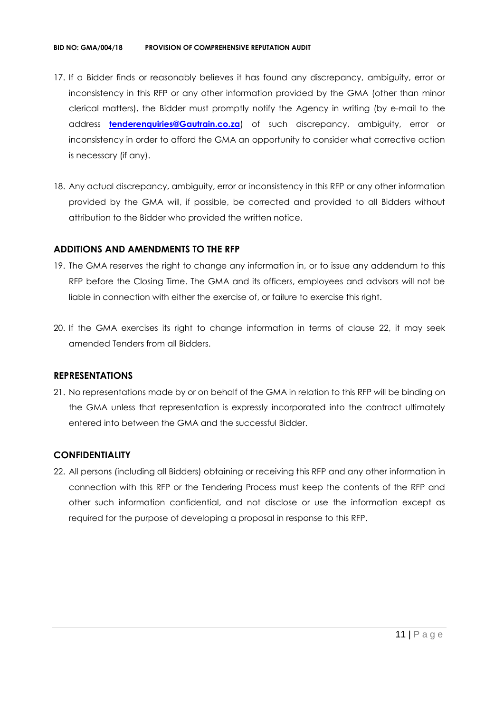- 17. If a Bidder finds or reasonably believes it has found any discrepancy, ambiguity, error or inconsistency in this RFP or any other information provided by the GMA (other than minor clerical matters), the Bidder must promptly notify the Agency in writing (by e-mail to the address **[tenderenquiries@Gautrain.co.za](mailto:tenderenquiries@gautrainpo.co.za)**) of such discrepancy, ambiguity, error or inconsistency in order to afford the GMA an opportunity to consider what corrective action is necessary (if any).
- 18. Any actual discrepancy, ambiguity, error or inconsistency in this RFP or any other information provided by the GMA will, if possible, be corrected and provided to all Bidders without attribution to the Bidder who provided the written notice.

#### **ADDITIONS AND AMENDMENTS TO THE RFP**

- 19. The GMA reserves the right to change any information in, or to issue any addendum to this RFP before the Closing Time. The GMA and its officers, employees and advisors will not be liable in connection with either the exercise of, or failure to exercise this right.
- 20. If the GMA exercises its right to change information in terms of clause 22, it may seek amended Tenders from all Bidders.

#### **REPRESENTATIONS**

21. No representations made by or on behalf of the GMA in relation to this RFP will be binding on the GMA unless that representation is expressly incorporated into the contract ultimately entered into between the GMA and the successful Bidder.

#### **CONFIDENTIALITY**

22. All persons (including all Bidders) obtaining or receiving this RFP and any other information in connection with this RFP or the Tendering Process must keep the contents of the RFP and other such information confidential, and not disclose or use the information except as required for the purpose of developing a proposal in response to this RFP.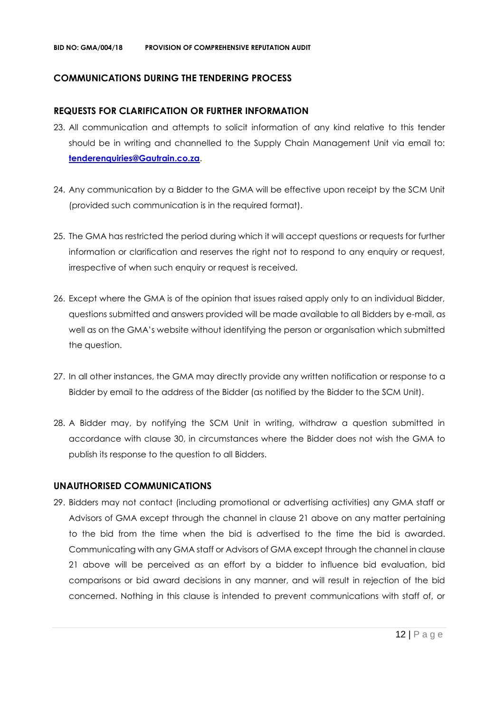#### **COMMUNICATIONS DURING THE TENDERING PROCESS**

#### **REQUESTS FOR CLARIFICATION OR FURTHER INFORMATION**

- 23. All communication and attempts to solicit information of any kind relative to this tender should be in writing and channelled to the Supply Chain Management Unit via email to: **[tenderenquiries@Gautrain.co.za](mailto:tenderenquiries@gautrainpo.co.za)**.
- 24. Any communication by a Bidder to the GMA will be effective upon receipt by the SCM Unit (provided such communication is in the required format).
- 25. The GMA has restricted the period during which it will accept questions or requests for further information or clarification and reserves the right not to respond to any enquiry or request, irrespective of when such enquiry or request is received.
- 26. Except where the GMA is of the opinion that issues raised apply only to an individual Bidder, questions submitted and answers provided will be made available to all Bidders by e-mail, as well as on the GMA's website without identifying the person or organisation which submitted the question.
- 27. In all other instances, the GMA may directly provide any written notification or response to a Bidder by email to the address of the Bidder (as notified by the Bidder to the SCM Unit).
- 28. A Bidder may, by notifying the SCM Unit in writing, withdraw a question submitted in accordance with clause 30, in circumstances where the Bidder does not wish the GMA to publish its response to the question to all Bidders.

#### **UNAUTHORISED COMMUNICATIONS**

29. Bidders may not contact (including promotional or advertising activities) any GMA staff or Advisors of GMA except through the channel in clause 21 above on any matter pertaining to the bid from the time when the bid is advertised to the time the bid is awarded. Communicating with any GMA staff or Advisors of GMA except through the channel in clause 21 above will be perceived as an effort by a bidder to influence bid evaluation, bid comparisons or bid award decisions in any manner, and will result in rejection of the bid concerned. Nothing in this clause is intended to prevent communications with staff of, or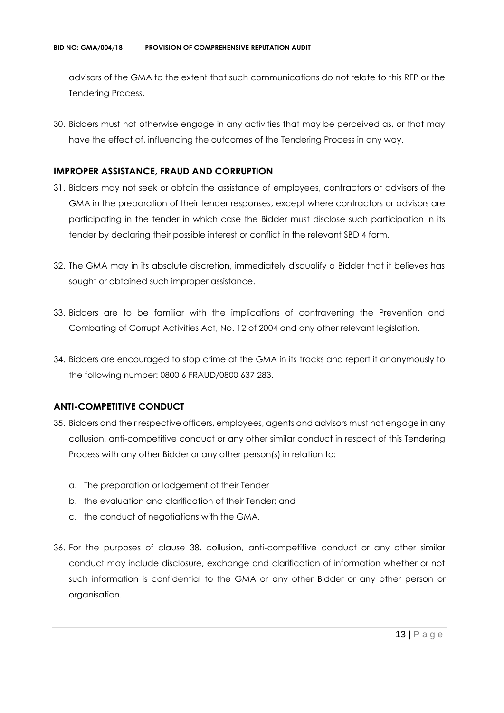advisors of the GMA to the extent that such communications do not relate to this RFP or the Tendering Process.

30. Bidders must not otherwise engage in any activities that may be perceived as, or that may have the effect of, influencing the outcomes of the Tendering Process in any way.

#### **IMPROPER ASSISTANCE, FRAUD AND CORRUPTION**

- 31. Bidders may not seek or obtain the assistance of employees, contractors or advisors of the GMA in the preparation of their tender responses, except where contractors or advisors are participating in the tender in which case the Bidder must disclose such participation in its tender by declaring their possible interest or conflict in the relevant SBD 4 form.
- 32. The GMA may in its absolute discretion, immediately disqualify a Bidder that it believes has sought or obtained such improper assistance.
- 33. Bidders are to be familiar with the implications of contravening the Prevention and Combating of Corrupt Activities Act, No. 12 of 2004 and any other relevant legislation.
- 34. Bidders are encouraged to stop crime at the GMA in its tracks and report it anonymously to the following number: 0800 6 FRAUD/0800 637 283.

#### **ANTI-COMPETITIVE CONDUCT**

- 35. Bidders and their respective officers, employees, agents and advisors must not engage in any collusion, anti-competitive conduct or any other similar conduct in respect of this Tendering Process with any other Bidder or any other person(s) in relation to:
	- a. The preparation or lodgement of their Tender
	- b. the evaluation and clarification of their Tender; and
	- c. the conduct of negotiations with the GMA.
- 36. For the purposes of clause 38, collusion, anti-competitive conduct or any other similar conduct may include disclosure, exchange and clarification of information whether or not such information is confidential to the GMA or any other Bidder or any other person or organisation.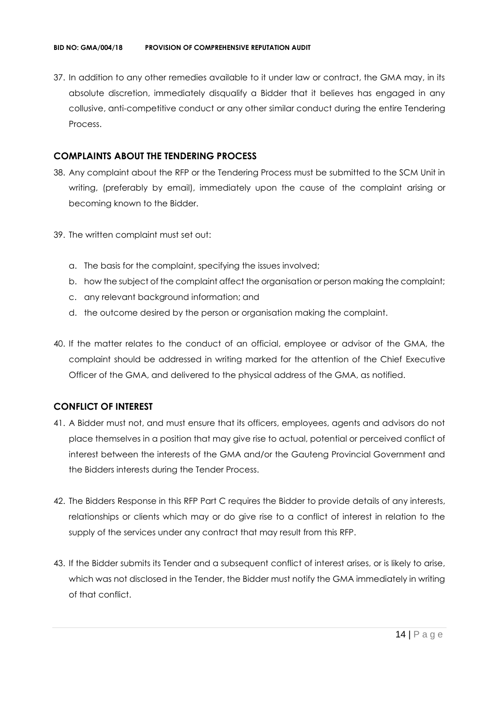37. In addition to any other remedies available to it under law or contract, the GMA may, in its absolute discretion, immediately disqualify a Bidder that it believes has engaged in any collusive, anti-competitive conduct or any other similar conduct during the entire Tendering Process.

#### **COMPLAINTS ABOUT THE TENDERING PROCESS**

- 38. Any complaint about the RFP or the Tendering Process must be submitted to the SCM Unit in writing, (preferably by email), immediately upon the cause of the complaint arising or becoming known to the Bidder.
- 39. The written complaint must set out:
	- a. The basis for the complaint, specifying the issues involved;
	- b. how the subject of the complaint affect the organisation or person making the complaint;
	- c. any relevant background information; and
	- d. the outcome desired by the person or organisation making the complaint.
- 40. If the matter relates to the conduct of an official, employee or advisor of the GMA, the complaint should be addressed in writing marked for the attention of the Chief Executive Officer of the GMA, and delivered to the physical address of the GMA, as notified.

#### **CONFLICT OF INTEREST**

- 41. A Bidder must not, and must ensure that its officers, employees, agents and advisors do not place themselves in a position that may give rise to actual, potential or perceived conflict of interest between the interests of the GMA and/or the Gauteng Provincial Government and the Bidders interests during the Tender Process.
- 42. The Bidders Response in this RFP Part C requires the Bidder to provide details of any interests, relationships or clients which may or do give rise to a conflict of interest in relation to the supply of the services under any contract that may result from this RFP.
- 43. If the Bidder submits its Tender and a subsequent conflict of interest arises, or is likely to arise, which was not disclosed in the Tender, the Bidder must notify the GMA immediately in writing of that conflict.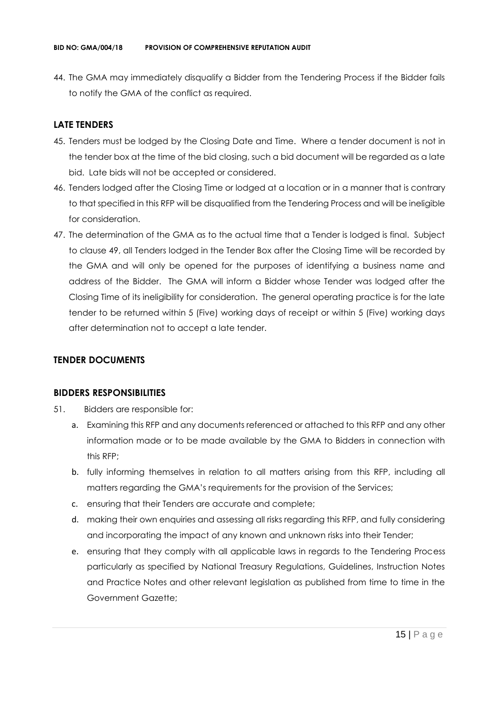44. The GMA may immediately disqualify a Bidder from the Tendering Process if the Bidder fails to notify the GMA of the conflict as required.

#### **LATE TENDERS**

- 45. Tenders must be lodged by the Closing Date and Time. Where a tender document is not in the tender box at the time of the bid closing, such a bid document will be regarded as a late bid. Late bids will not be accepted or considered.
- 46. Tenders lodged after the Closing Time or lodged at a location or in a manner that is contrary to that specified in this RFP will be disqualified from the Tendering Process and will be ineligible for consideration.
- 47. The determination of the GMA as to the actual time that a Tender is lodged is final. Subject to clause 49, all Tenders lodged in the Tender Box after the Closing Time will be recorded by the GMA and will only be opened for the purposes of identifying a business name and address of the Bidder. The GMA will inform a Bidder whose Tender was lodged after the Closing Time of its ineligibility for consideration. The general operating practice is for the late tender to be returned within 5 (Five) working days of receipt or within 5 (Five) working days after determination not to accept a late tender.

#### **TENDER DOCUMENTS**

#### **BIDDERS RESPONSIBILITIES**

- 51. Bidders are responsible for:
	- a. Examining this RFP and any documents referenced or attached to this RFP and any other information made or to be made available by the GMA to Bidders in connection with this RFP;
	- b. fully informing themselves in relation to all matters arising from this RFP, including all matters regarding the GMA's requirements for the provision of the Services;
	- c. ensuring that their Tenders are accurate and complete;
	- d. making their own enquiries and assessing all risks regarding this RFP, and fully considering and incorporating the impact of any known and unknown risks into their Tender;
	- e. ensuring that they comply with all applicable laws in regards to the Tendering Process particularly as specified by National Treasury Regulations, Guidelines, Instruction Notes and Practice Notes and other relevant legislation as published from time to time in the Government Gazette;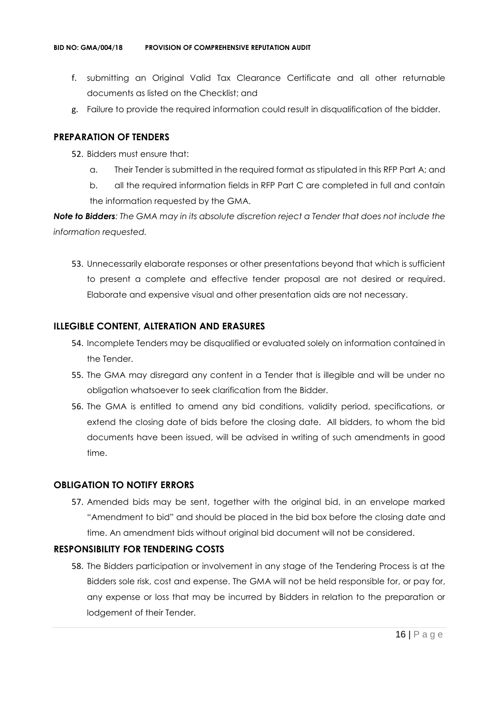- f. submitting an Original Valid Tax Clearance Certificate and all other returnable documents as listed on the Checklist; and
- g. Failure to provide the required information could result in disqualification of the bidder.

#### **PREPARATION OF TENDERS**

- 52. Bidders must ensure that:
	- a. Their Tender is submitted in the required format as stipulated in this RFP Part A; and
	- b. all the required information fields in RFP Part C are completed in full and contain the information requested by the GMA.

*Note to Bidders: The GMA may in its absolute discretion reject a Tender that does not include the information requested.*

53. Unnecessarily elaborate responses or other presentations beyond that which is sufficient to present a complete and effective tender proposal are not desired or required. Elaborate and expensive visual and other presentation aids are not necessary.

#### **ILLEGIBLE CONTENT, ALTERATION AND ERASURES**

- 54. Incomplete Tenders may be disqualified or evaluated solely on information contained in the Tender.
- 55. The GMA may disregard any content in a Tender that is illegible and will be under no obligation whatsoever to seek clarification from the Bidder.
- 56. The GMA is entitled to amend any bid conditions, validity period, specifications, or extend the closing date of bids before the closing date. All bidders, to whom the bid documents have been issued, will be advised in writing of such amendments in good time.

#### **OBLIGATION TO NOTIFY ERRORS**

57. Amended bids may be sent, together with the original bid, in an envelope marked "Amendment to bid" and should be placed in the bid box before the closing date and time. An amendment bids without original bid document will not be considered.

#### **RESPONSIBILITY FOR TENDERING COSTS**

58. The Bidders participation or involvement in any stage of the Tendering Process is at the Bidders sole risk, cost and expense. The GMA will not be held responsible for, or pay for, any expense or loss that may be incurred by Bidders in relation to the preparation or lodgement of their Tender.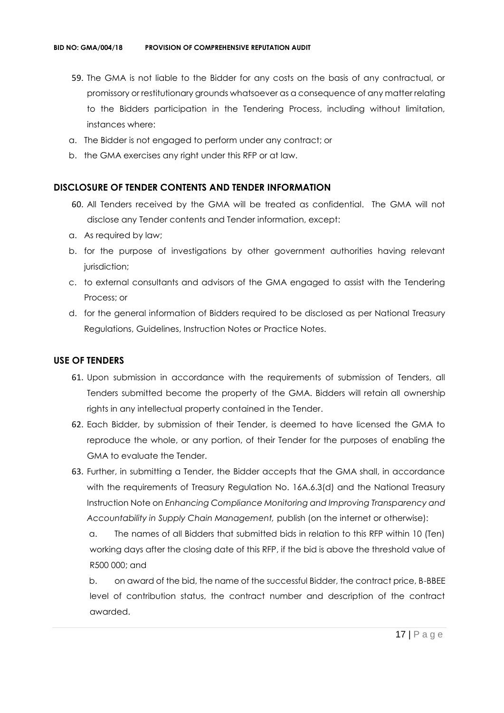- 59. The GMA is not liable to the Bidder for any costs on the basis of any contractual, or promissory or restitutionary grounds whatsoever as a consequence of any matter relating to the Bidders participation in the Tendering Process, including without limitation, instances where:
- a. The Bidder is not engaged to perform under any contract; or
- b. the GMA exercises any right under this RFP or at law.

#### **DISCLOSURE OF TENDER CONTENTS AND TENDER INFORMATION**

- 60. All Tenders received by the GMA will be treated as confidential. The GMA will not disclose any Tender contents and Tender information, except:
- a. As required by law;
- b. for the purpose of investigations by other government authorities having relevant jurisdiction;
- c. to external consultants and advisors of the GMA engaged to assist with the Tendering Process; or
- d. for the general information of Bidders required to be disclosed as per National Treasury Regulations, Guidelines, Instruction Notes or Practice Notes.

#### **USE OF TENDERS**

- 61. Upon submission in accordance with the requirements of submission of Tenders, all Tenders submitted become the property of the GMA. Bidders will retain all ownership rights in any intellectual property contained in the Tender.
- 62. Each Bidder, by submission of their Tender, is deemed to have licensed the GMA to reproduce the whole, or any portion, of their Tender for the purposes of enabling the GMA to evaluate the Tender.
- 63. Further, in submitting a Tender, the Bidder accepts that the GMA shall, in accordance with the requirements of Treasury Regulation No. 16A.6.3(d) and the National Treasury Instruction Note on *Enhancing Compliance Monitoring and Improving Transparency and Accountability in Supply Chain Management,* publish (on the internet or otherwise):

a. The names of all Bidders that submitted bids in relation to this RFP within 10 (Ten) working days after the closing date of this RFP, if the bid is above the threshold value of R500 000; and

b. on award of the bid, the name of the successful Bidder, the contract price, B-BBEE level of contribution status, the contract number and description of the contract awarded.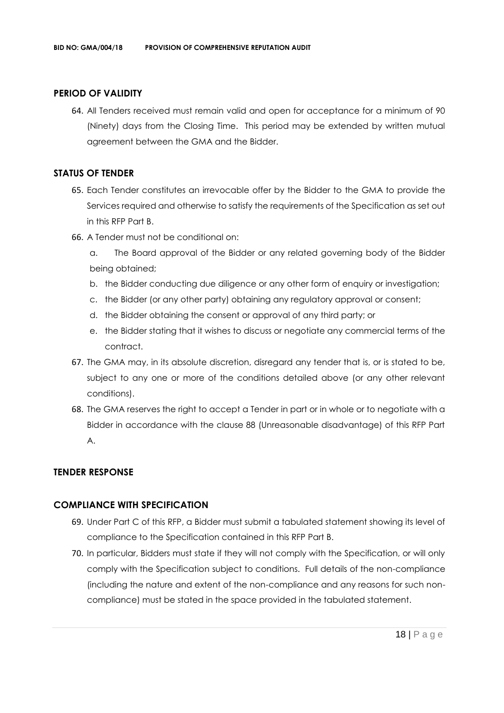#### **PERIOD OF VALIDITY**

64. All Tenders received must remain valid and open for acceptance for a minimum of 90 (Ninety) days from the Closing Time. This period may be extended by written mutual agreement between the GMA and the Bidder.

#### **STATUS OF TENDER**

- 65. Each Tender constitutes an irrevocable offer by the Bidder to the GMA to provide the Services required and otherwise to satisfy the requirements of the Specification as set out in this RFP Part B.
- 66. A Tender must not be conditional on:
	- a. The Board approval of the Bidder or any related governing body of the Bidder being obtained;
	- b. the Bidder conducting due diligence or any other form of enquiry or investigation;
	- c. the Bidder (or any other party) obtaining any regulatory approval or consent;
	- d. the Bidder obtaining the consent or approval of any third party; or
	- e. the Bidder stating that it wishes to discuss or negotiate any commercial terms of the contract.
- 67. The GMA may, in its absolute discretion, disregard any tender that is, or is stated to be, subject to any one or more of the conditions detailed above (or any other relevant conditions).
- 68. The GMA reserves the right to accept a Tender in part or in whole or to negotiate with a Bidder in accordance with the clause 88 (Unreasonable disadvantage) of this RFP Part A.

#### **TENDER RESPONSE**

#### **COMPLIANCE WITH SPECIFICATION**

- 69. Under Part C of this RFP, a Bidder must submit a tabulated statement showing its level of compliance to the Specification contained in this RFP Part B.
- 70. In particular, Bidders must state if they will not comply with the Specification, or will only comply with the Specification subject to conditions. Full details of the non-compliance (including the nature and extent of the non-compliance and any reasons for such noncompliance) must be stated in the space provided in the tabulated statement.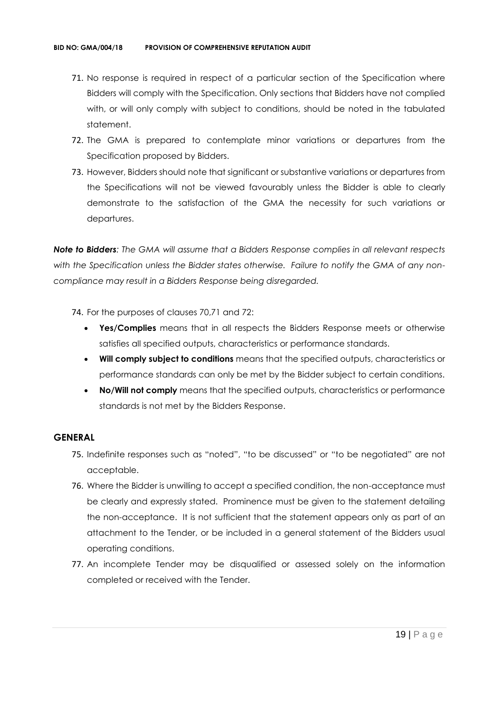- 71. No response is required in respect of a particular section of the Specification where Bidders will comply with the Specification. Only sections that Bidders have not complied with, or will only comply with subject to conditions, should be noted in the tabulated statement.
- 72. The GMA is prepared to contemplate minor variations or departures from the Specification proposed by Bidders.
- 73. However, Bidders should note that significant or substantive variations or departures from the Specifications will not be viewed favourably unless the Bidder is able to clearly demonstrate to the satisfaction of the GMA the necessity for such variations or departures.

*Note to Bidders: The GMA will assume that a Bidders Response complies in all relevant respects with the Specification unless the Bidder states otherwise. Failure to notify the GMA of any noncompliance may result in a Bidders Response being disregarded.*

- 74. For the purposes of clauses 70,71 and 72:
	- **Yes/Complies** means that in all respects the Bidders Response meets or otherwise satisfies all specified outputs, characteristics or performance standards.
	- **Will comply subject to conditions** means that the specified outputs, characteristics or performance standards can only be met by the Bidder subject to certain conditions.
	- **No/Will not comply** means that the specified outputs, characteristics or performance standards is not met by the Bidders Response.

#### **GENERAL**

- 75. Indefinite responses such as "noted", "to be discussed" or "to be negotiated" are not acceptable.
- 76. Where the Bidder is unwilling to accept a specified condition, the non-acceptance must be clearly and expressly stated. Prominence must be given to the statement detailing the non-acceptance. It is not sufficient that the statement appears only as part of an attachment to the Tender, or be included in a general statement of the Bidders usual operating conditions.
- 77. An incomplete Tender may be disqualified or assessed solely on the information completed or received with the Tender.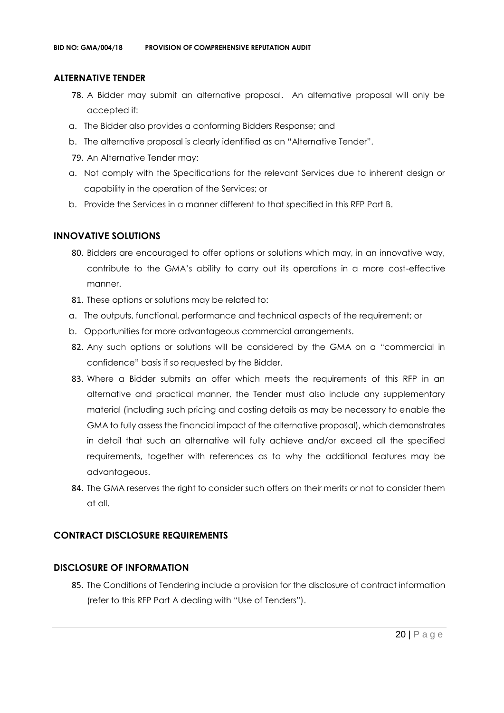#### **ALTERNATIVE TENDER**

- 78. A Bidder may submit an alternative proposal. An alternative proposal will only be accepted if:
- a. The Bidder also provides a conforming Bidders Response; and
- b. The alternative proposal is clearly identified as an "Alternative Tender".
- 79. An Alternative Tender may:
- a. Not comply with the Specifications for the relevant Services due to inherent design or capability in the operation of the Services; or
- b. Provide the Services in a manner different to that specified in this RFP Part B.

#### **INNOVATIVE SOLUTIONS**

- 80. Bidders are encouraged to offer options or solutions which may, in an innovative way, contribute to the GMA's ability to carry out its operations in a more cost-effective manner.
- 81. These options or solutions may be related to:
- a. The outputs, functional, performance and technical aspects of the requirement; or
- b. Opportunities for more advantageous commercial arrangements.
- 82. Any such options or solutions will be considered by the GMA on a "commercial in confidence" basis if so requested by the Bidder.
- 83. Where a Bidder submits an offer which meets the requirements of this RFP in an alternative and practical manner, the Tender must also include any supplementary material (including such pricing and costing details as may be necessary to enable the GMA to fully assess the financial impact of the alternative proposal), which demonstrates in detail that such an alternative will fully achieve and/or exceed all the specified requirements, together with references as to why the additional features may be advantageous.
- 84. The GMA reserves the right to consider such offers on their merits or not to consider them at all.

#### **CONTRACT DISCLOSURE REQUIREMENTS**

#### **DISCLOSURE OF INFORMATION**

85. The Conditions of Tendering include a provision for the disclosure of contract information (refer to this RFP Part A dealing with "Use of Tenders").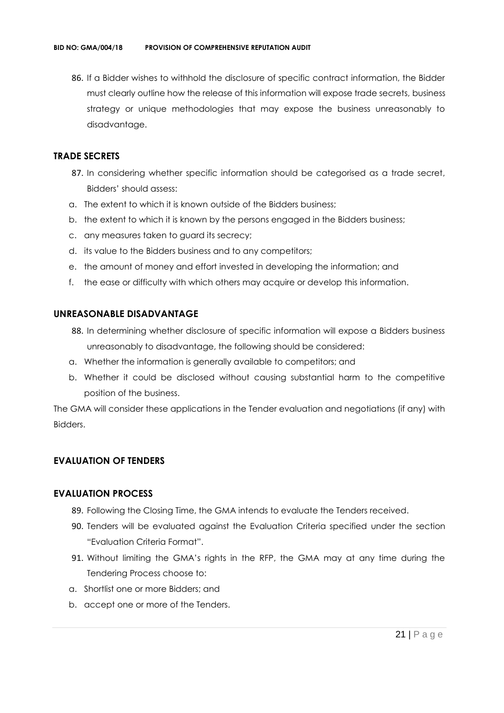86. If a Bidder wishes to withhold the disclosure of specific contract information, the Bidder must clearly outline how the release of this information will expose trade secrets, business strategy or unique methodologies that may expose the business unreasonably to disadvantage.

#### **TRADE SECRETS**

- 87. In considering whether specific information should be categorised as a trade secret, Bidders' should assess:
- a. The extent to which it is known outside of the Bidders business;
- b. the extent to which it is known by the persons engaged in the Bidders business;
- c. any measures taken to guard its secrecy;
- d. its value to the Bidders business and to any competitors;
- e. the amount of money and effort invested in developing the information; and
- f. the ease or difficulty with which others may acquire or develop this information.

#### **UNREASONABLE DISADVANTAGE**

- 88. In determining whether disclosure of specific information will expose a Bidders business unreasonably to disadvantage, the following should be considered:
- a. Whether the information is generally available to competitors; and
- b. Whether it could be disclosed without causing substantial harm to the competitive position of the business.

The GMA will consider these applications in the Tender evaluation and negotiations (if any) with Bidders.

#### **EVALUATION OF TENDERS**

#### **EVALUATION PROCESS**

- 89. Following the Closing Time, the GMA intends to evaluate the Tenders received.
- 90. Tenders will be evaluated against the Evaluation Criteria specified under the section "Evaluation Criteria Format".
- 91. Without limiting the GMA's rights in the RFP, the GMA may at any time during the Tendering Process choose to:
- a. Shortlist one or more Bidders; and
- b. accept one or more of the Tenders.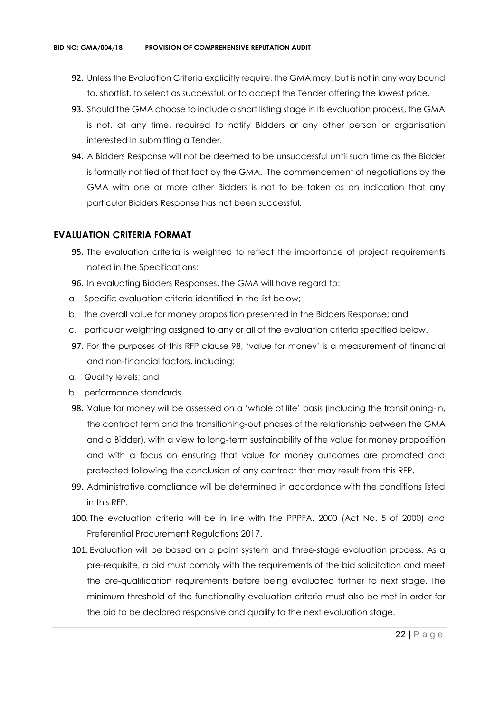- 92. Unless the Evaluation Criteria explicitly require, the GMA may, but is not in any way bound to, shortlist, to select as successful, or to accept the Tender offering the lowest price.
- 93. Should the GMA choose to include a short listing stage in its evaluation process, the GMA is not, at any time, required to notify Bidders or any other person or organisation interested in submitting a Tender.
- 94. A Bidders Response will not be deemed to be unsuccessful until such time as the Bidder is formally notified of that fact by the GMA. The commencement of negotiations by the GMA with one or more other Bidders is not to be taken as an indication that any particular Bidders Response has not been successful.

#### **EVALUATION CRITERIA FORMAT**

- 95. The evaluation criteria is weighted to reflect the importance of project requirements noted in the Specifications:
- 96. In evaluating Bidders Responses, the GMA will have regard to:
- a. Specific evaluation criteria identified in the list below;
- b. the overall value for money proposition presented in the Bidders Response; and
- c. particular weighting assigned to any or all of the evaluation criteria specified below.
- 97. For the purposes of this RFP clause 98, 'value for money' is a measurement of financial and non-financial factors, including:
- a. Quality levels; and
- b. performance standards.
- 98. Value for money will be assessed on a 'whole of life' basis (including the transitioning-in, the contract term and the transitioning-out phases of the relationship between the GMA and a Bidder), with a view to long-term sustainability of the value for money proposition and with a focus on ensuring that value for money outcomes are promoted and protected following the conclusion of any contract that may result from this RFP.
- 99. Administrative compliance will be determined in accordance with the conditions listed in this RFP.
- 100. The evaluation criteria will be in line with the PPPFA, 2000 (Act No. 5 of 2000) and Preferential Procurement Regulations 2017.
- 101. Evaluation will be based on a point system and three-stage evaluation process. As a pre-requisite, a bid must comply with the requirements of the bid solicitation and meet the pre-qualification requirements before being evaluated further to next stage. The minimum threshold of the functionality evaluation criteria must also be met in order for the bid to be declared responsive and qualify to the next evaluation stage.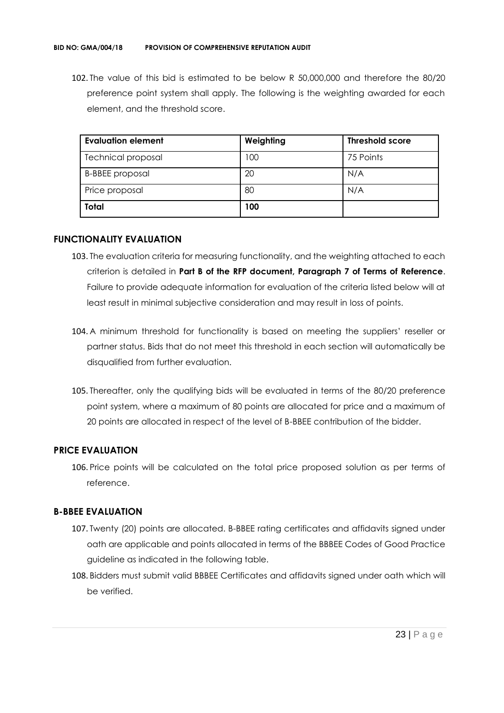102. The value of this bid is estimated to be below R 50,000,000 and therefore the 80/20 preference point system shall apply. The following is the weighting awarded for each element, and the threshold score.

| <b>Evaluation element</b> | Weighting | <b>Threshold score</b> |
|---------------------------|-----------|------------------------|
| <b>Technical proposal</b> | 100       | 75 Points              |
| <b>B-BBEE</b> proposal    | 20        | N/A                    |
| Price proposal            | 80        | N/A                    |
| <b>Total</b>              | 100       |                        |

#### **FUNCTIONALITY EVALUATION**

- 103. The evaluation criteria for measuring functionality, and the weighting attached to each criterion is detailed in **Part B of the RFP document, Paragraph 7 of Terms of Reference**. Failure to provide adequate information for evaluation of the criteria listed below will at least result in minimal subjective consideration and may result in loss of points.
- 104. A minimum threshold for functionality is based on meeting the suppliers' reseller or partner status. Bids that do not meet this threshold in each section will automatically be disqualified from further evaluation.
- 105. Thereafter, only the qualifying bids will be evaluated in terms of the 80/20 preference point system, where a maximum of 80 points are allocated for price and a maximum of 20 points are allocated in respect of the level of B-BBEE contribution of the bidder.

#### **PRICE EVALUATION**

106. Price points will be calculated on the total price proposed solution as per terms of reference.

#### **B-BBEE EVALUATION**

- 107. Twenty (20) points are allocated. B-BBEE rating certificates and affidavits signed under oath are applicable and points allocated in terms of the BBBEE Codes of Good Practice guideline as indicated in the following table.
- 108. Bidders must submit valid BBBEE Certificates and affidavits signed under oath which will be verified.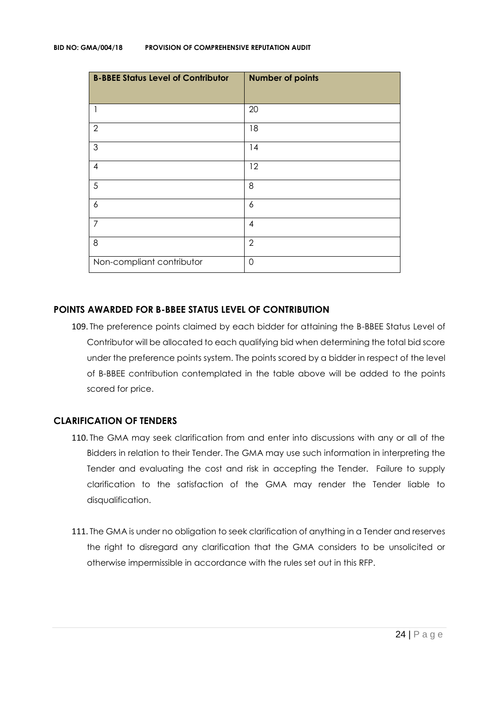| <b>B-BBEE Status Level of Contributor</b> | <b>Number of points</b> |
|-------------------------------------------|-------------------------|
| 1                                         | 20                      |
| $\overline{2}$                            | 18                      |
| $\mathfrak{S}$                            | 14                      |
| 4                                         | 12                      |
| 5                                         | 8                       |
| 6                                         | 6                       |
| 7                                         | $\overline{4}$          |
| 8                                         | $\overline{2}$          |
| Non-compliant contributor                 | $\overline{0}$          |

#### **POINTS AWARDED FOR B-BBEE STATUS LEVEL OF CONTRIBUTION**

109. The preference points claimed by each bidder for attaining the B-BBEE Status Level of Contributor will be allocated to each qualifying bid when determining the total bid score under the preference points system. The points scored by a bidder in respect of the level of B-BBEE contribution contemplated in the table above will be added to the points scored for price.

#### **CLARIFICATION OF TENDERS**

- 110. The GMA may seek clarification from and enter into discussions with any or all of the Bidders in relation to their Tender. The GMA may use such information in interpreting the Tender and evaluating the cost and risk in accepting the Tender. Failure to supply clarification to the satisfaction of the GMA may render the Tender liable to disqualification.
- 111. The GMA is under no obligation to seek clarification of anything in a Tender and reserves the right to disregard any clarification that the GMA considers to be unsolicited or otherwise impermissible in accordance with the rules set out in this RFP.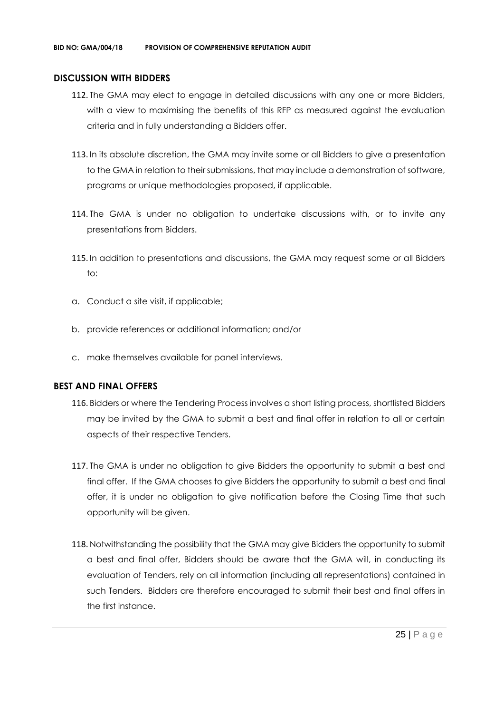#### **DISCUSSION WITH BIDDERS**

- 112. The GMA may elect to engage in detailed discussions with any one or more Bidders, with a view to maximising the benefits of this RFP as measured against the evaluation criteria and in fully understanding a Bidders offer.
- 113. In its absolute discretion, the GMA may invite some or all Bidders to give a presentation to the GMA in relation to their submissions, that may include a demonstration of software, programs or unique methodologies proposed, if applicable.
- 114. The GMA is under no obligation to undertake discussions with, or to invite any presentations from Bidders.
- 115. In addition to presentations and discussions, the GMA may request some or all Bidders to:
- a. Conduct a site visit, if applicable;
- b. provide references or additional information; and/or
- c. make themselves available for panel interviews.

#### **BEST AND FINAL OFFERS**

- 116. Bidders or where the Tendering Process involves a short listing process, shortlisted Bidders may be invited by the GMA to submit a best and final offer in relation to all or certain aspects of their respective Tenders.
- 117. The GMA is under no obligation to give Bidders the opportunity to submit a best and final offer. If the GMA chooses to give Bidders the opportunity to submit a best and final offer, it is under no obligation to give notification before the Closing Time that such opportunity will be given.
- 118. Notwithstanding the possibility that the GMA may give Bidders the opportunity to submit a best and final offer, Bidders should be aware that the GMA will, in conducting its evaluation of Tenders, rely on all information (including all representations) contained in such Tenders. Bidders are therefore encouraged to submit their best and final offers in the first instance.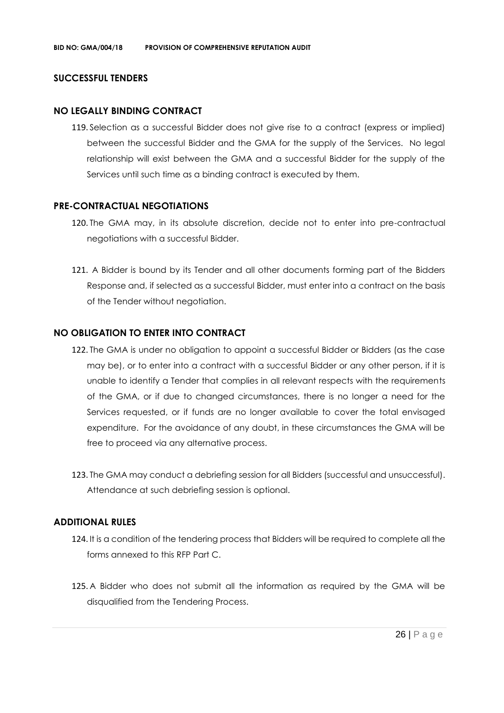#### **SUCCESSFUL TENDERS**

#### **NO LEGALLY BINDING CONTRACT**

119. Selection as a successful Bidder does not give rise to a contract (express or implied) between the successful Bidder and the GMA for the supply of the Services. No legal relationship will exist between the GMA and a successful Bidder for the supply of the Services until such time as a binding contract is executed by them.

#### **PRE-CONTRACTUAL NEGOTIATIONS**

- 120. The GMA may, in its absolute discretion, decide not to enter into pre-contractual negotiations with a successful Bidder.
- 121. A Bidder is bound by its Tender and all other documents forming part of the Bidders Response and, if selected as a successful Bidder, must enter into a contract on the basis of the Tender without negotiation.

#### **NO OBLIGATION TO ENTER INTO CONTRACT**

- 122. The GMA is under no obligation to appoint a successful Bidder or Bidders (as the case may be), or to enter into a contract with a successful Bidder or any other person, if it is unable to identify a Tender that complies in all relevant respects with the requirements of the GMA, or if due to changed circumstances, there is no longer a need for the Services requested, or if funds are no longer available to cover the total envisaged expenditure. For the avoidance of any doubt, in these circumstances the GMA will be free to proceed via any alternative process.
- 123. The GMA may conduct a debriefing session for all Bidders (successful and unsuccessful). Attendance at such debriefing session is optional.

#### **ADDITIONAL RULES**

- 124. It is a condition of the tendering process that Bidders will be required to complete all the forms annexed to this RFP Part C.
- 125. A Bidder who does not submit all the information as required by the GMA will be disqualified from the Tendering Process.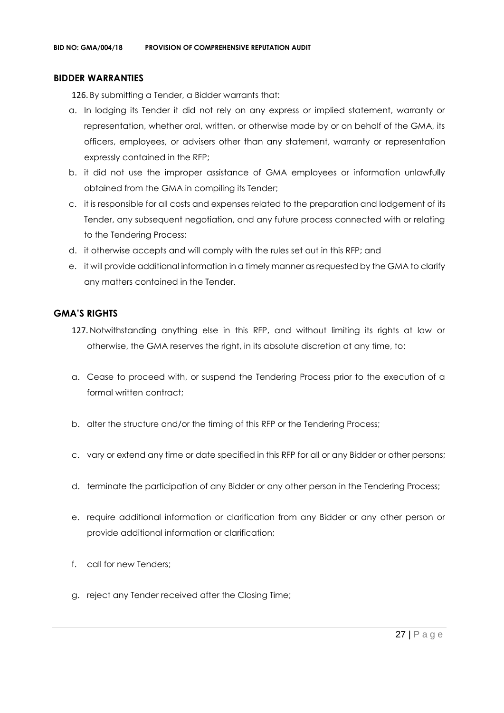#### **BIDDER WARRANTIES**

126. By submitting a Tender, a Bidder warrants that:

- a. In lodging its Tender it did not rely on any express or implied statement, warranty or representation, whether oral, written, or otherwise made by or on behalf of the GMA, its officers, employees, or advisers other than any statement, warranty or representation expressly contained in the RFP;
- b. it did not use the improper assistance of GMA employees or information unlawfully obtained from the GMA in compiling its Tender;
- c. it is responsible for all costs and expenses related to the preparation and lodgement of its Tender, any subsequent negotiation, and any future process connected with or relating to the Tendering Process;
- d. it otherwise accepts and will comply with the rules set out in this RFP; and
- e. it will provide additional information in a timely manner as requested by the GMA to clarify any matters contained in the Tender.

#### **GMA'S RIGHTS**

- 127. Notwithstanding anything else in this RFP, and without limiting its rights at law or otherwise, the GMA reserves the right, in its absolute discretion at any time, to:
- a. Cease to proceed with, or suspend the Tendering Process prior to the execution of a formal written contract:
- b. alter the structure and/or the timing of this RFP or the Tendering Process;
- c. vary or extend any time or date specified in this RFP for all or any Bidder or other persons;
- d. terminate the participation of any Bidder or any other person in the Tendering Process;
- e. require additional information or clarification from any Bidder or any other person or provide additional information or clarification;
- f. call for new Tenders;
- g. reject any Tender received after the Closing Time;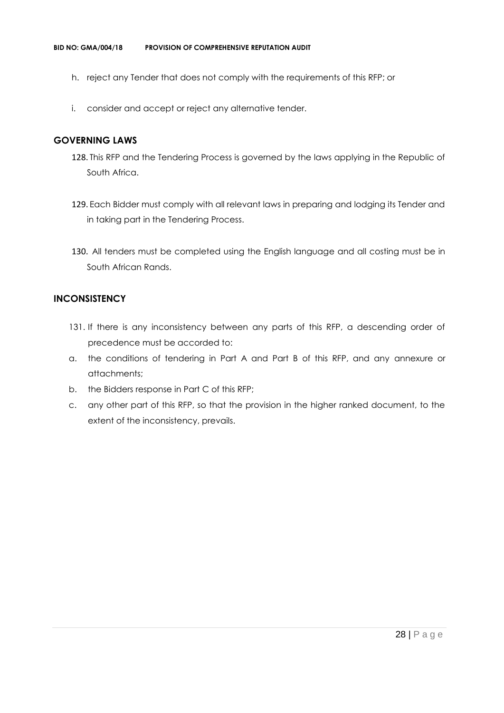- h. reject any Tender that does not comply with the requirements of this RFP; or
- i. consider and accept or reject any alternative tender.

#### **GOVERNING LAWS**

- 128. This RFP and the Tendering Process is governed by the laws applying in the Republic of South Africa.
- 129. Each Bidder must comply with all relevant laws in preparing and lodging its Tender and in taking part in the Tendering Process.
- 130. All tenders must be completed using the English language and all costing must be in South African Rands.

#### **INCONSISTENCY**

- 131. If there is any inconsistency between any parts of this RFP, a descending order of precedence must be accorded to:
- a. the conditions of tendering in Part A and Part B of this RFP, and any annexure or attachments;
- b. the Bidders response in Part C of this RFP;
- c. any other part of this RFP, so that the provision in the higher ranked document, to the extent of the inconsistency, prevails.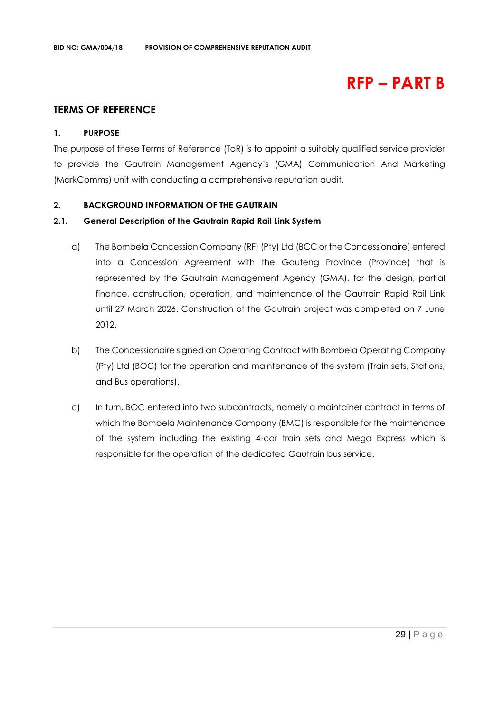## **RFP – PART B**

#### **TERMS OF REFERENCE**

#### **1. PURPOSE**

The purpose of these Terms of Reference (ToR) is to appoint a suitably qualified service provider to provide the Gautrain Management Agency's (GMA) Communication And Marketing (MarkComms) unit with conducting a comprehensive reputation audit.

#### **2. BACKGROUND INFORMATION OF THE GAUTRAIN**

#### **2.1. General Description of the Gautrain Rapid Rail Link System**

- a) The Bombela Concession Company (RF) (Pty) Ltd (BCC or the Concessionaire) entered into a Concession Agreement with the Gauteng Province (Province) that is represented by the Gautrain Management Agency (GMA), for the design, partial finance, construction, operation, and maintenance of the Gautrain Rapid Rail Link until 27 March 2026. Construction of the Gautrain project was completed on 7 June 2012.
- b) The Concessionaire signed an Operating Contract with Bombela Operating Company (Pty) Ltd (BOC) for the operation and maintenance of the system (Train sets, Stations, and Bus operations).
- c) In turn, BOC entered into two subcontracts, namely a maintainer contract in terms of which the Bombela Maintenance Company (BMC) is responsible for the maintenance of the system including the existing 4-car train sets and Mega Express which is responsible for the operation of the dedicated Gautrain bus service.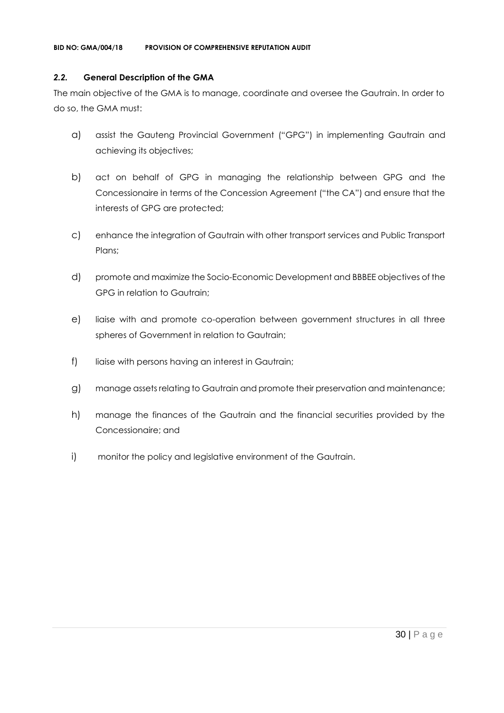#### *2.2.* **General Description of the GMA**

The main objective of the GMA is to manage, coordinate and oversee the Gautrain. In order to do so, the GMA must:

- a) assist the Gauteng Provincial Government ("GPG") in implementing Gautrain and achieving its objectives;
- b) act on behalf of GPG in managing the relationship between GPG and the Concessionaire in terms of the Concession Agreement ("the CA") and ensure that the interests of GPG are protected;
- c) enhance the integration of Gautrain with other transport services and Public Transport Plans;
- d) promote and maximize the Socio-Economic Development and BBBEE objectives of the GPG in relation to Gautrain;
- e) liaise with and promote co-operation between government structures in all three spheres of Government in relation to Gautrain;
- f) liaise with persons having an interest in Gautrain;
- g) manage assets relating to Gautrain and promote their preservation and maintenance;
- h) manage the finances of the Gautrain and the financial securities provided by the Concessionaire; and
- i) monitor the policy and legislative environment of the Gautrain.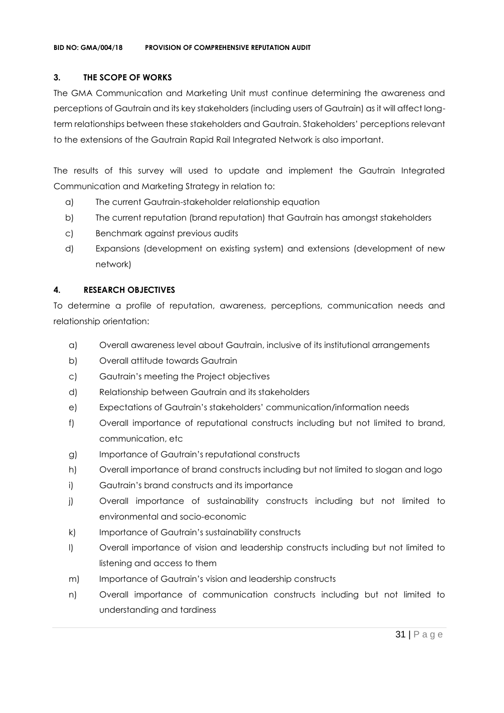#### **3. THE SCOPE OF WORKS**

The GMA Communication and Marketing Unit must continue determining the awareness and perceptions of Gautrain and its key stakeholders (including users of Gautrain) as it will affect longterm relationships between these stakeholders and Gautrain. Stakeholders' perceptions relevant to the extensions of the Gautrain Rapid Rail Integrated Network is also important.

The results of this survey will used to update and implement the Gautrain Integrated Communication and Marketing Strategy in relation to:

- a) The current Gautrain-stakeholder relationship equation
- b) The current reputation (brand reputation) that Gautrain has amongst stakeholders
- c) Benchmark against previous audits
- d) Expansions (development on existing system) and extensions (development of new network)

#### **4. RESEARCH OBJECTIVES**

To determine a profile of reputation, awareness, perceptions, communication needs and relationship orientation:

- a) Overall awareness level about Gautrain, inclusive of its institutional arrangements
- b) Overall attitude towards Gautrain
- c) Gautrain's meeting the Project objectives
- d) Relationship between Gautrain and its stakeholders
- e) Expectations of Gautrain's stakeholders' communication/information needs
- f) Overall importance of reputational constructs including but not limited to brand, communication, etc
- g) Importance of Gautrain's reputational constructs
- h) Overall importance of brand constructs including but not limited to slogan and logo
- i) Gautrain's brand constructs and its importance
- j) Overall importance of sustainability constructs including but not limited to environmental and socio-economic
- k) Importance of Gautrain's sustainability constructs
- l) Overall importance of vision and leadership constructs including but not limited to listening and access to them
- m) Importance of Gautrain's vision and leadership constructs
- n) Overall importance of communication constructs including but not limited to understanding and tardiness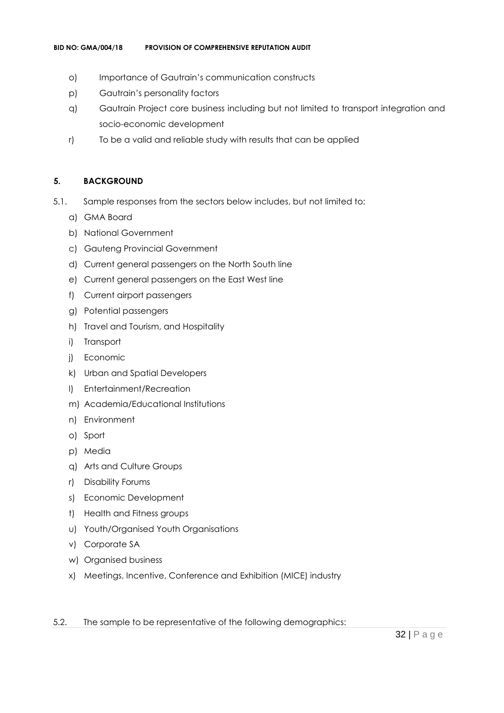- o) Importance of Gautrain's communication constructs
- p) Gautrain's personality factors
- q) Gautrain Project core business including but not limited to transport integration and socio-economic development
- r) To be a valid and reliable study with results that can be applied

#### **5. BACKGROUND**

- 5.1. Sample responses from the sectors below includes, but not limited to:
	- a) GMA Board
	- b) National Government
	- c) Gauteng Provincial Government
	- d) Current general passengers on the North South line
	- e) Current general passengers on the East West line
	- f) Current airport passengers
	- g) Potential passengers
	- h) Travel and Tourism, and Hospitality
	- i) Transport
	- j) Economic
	- k) Urban and Spatial Developers
	- l) Entertainment/Recreation
	- m) Academia/Educational Institutions
	- n) Environment
	- o) Sport
	- p) Media
	- q) Arts and Culture Groups
	- r) Disability Forums
	- s) Economic Development
	- t) Health and Fitness groups
	- u) Youth/Organised Youth Organisations
	- v) Corporate SA
	- w) Organised business
	- x) Meetings, Incentive, Conference and Exhibition (MICE) industry
- 5.2. The sample to be representative of the following demographics: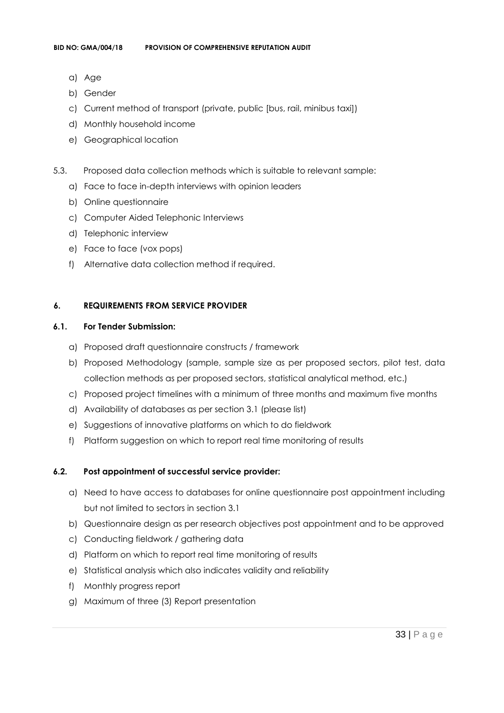- a) Age
- b) Gender
- c) Current method of transport (private, public [bus, rail, minibus taxi])
- d) Monthly household income
- e) Geographical location
- 5.3. Proposed data collection methods which is suitable to relevant sample:
	- a) Face to face in-depth interviews with opinion leaders
	- b) Online questionnaire
	- c) Computer Aided Telephonic Interviews
	- d) Telephonic interview
	- e) Face to face (vox pops)
	- f) Alternative data collection method if required.

#### **6. REQUIREMENTS FROM SERVICE PROVIDER**

#### **6.1. For Tender Submission:**

- a) Proposed draft questionnaire constructs / framework
- b) Proposed Methodology (sample, sample size as per proposed sectors, pilot test, data collection methods as per proposed sectors, statistical analytical method, etc.)
- c) Proposed project timelines with a minimum of three months and maximum five months
- d) Availability of databases as per section 3.1 (please list)
- e) Suggestions of innovative platforms on which to do fieldwork
- f) Platform suggestion on which to report real time monitoring of results

#### **6.2. Post appointment of successful service provider:**

- a) Need to have access to databases for online questionnaire post appointment including but not limited to sectors in section 3.1
- b) Questionnaire design as per research objectives post appointment and to be approved
- c) Conducting fieldwork / gathering data
- d) Platform on which to report real time monitoring of results
- e) Statistical analysis which also indicates validity and reliability
- f) Monthly progress report
- g) Maximum of three (3) Report presentation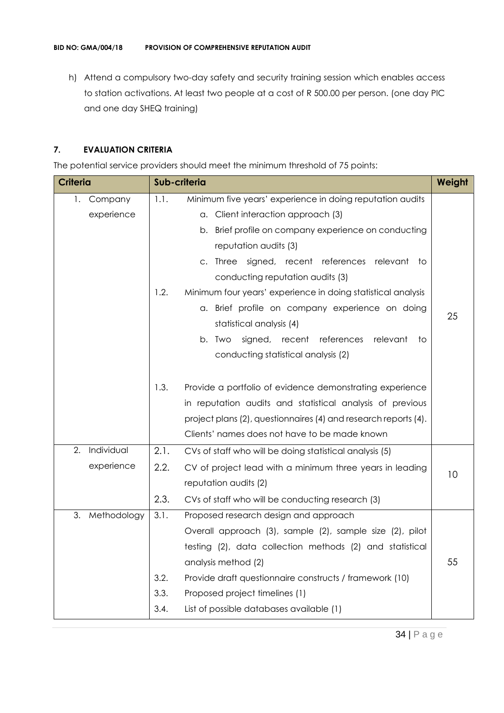h) Attend a compulsory two-day safety and security training session which enables access to station activations. At least two people at a cost of R 500.00 per person. (one day PIC and one day SHEQ training)

#### **7. EVALUATION CRITERIA**

The potential service providers should meet the minimum threshold of 75 points:

| <b>Criteria</b>   |      | Sub-criteria                                                    | Weight |
|-------------------|------|-----------------------------------------------------------------|--------|
| Company<br>1.     | 1.1. | Minimum five years' experience in doing reputation audits       |        |
| experience        |      | a. Client interaction approach (3)                              |        |
|                   |      | Brief profile on company experience on conducting<br>b.         |        |
|                   |      | reputation audits (3)                                           |        |
|                   |      | c. Three signed, recent references relevant to                  |        |
|                   |      | conducting reputation audits (3)                                |        |
|                   | 1.2. | Minimum four years' experience in doing statistical analysis    |        |
|                   |      | a. Brief profile on company experience on doing                 | 25     |
|                   |      | statistical analysis (4)                                        |        |
|                   |      | signed, recent references<br>relevant<br>b. Two<br>to           |        |
|                   |      | conducting statistical analysis (2)                             |        |
|                   |      |                                                                 |        |
|                   | 1.3. | Provide a portfolio of evidence demonstrating experience        |        |
|                   |      | in reputation audits and statistical analysis of previous       |        |
|                   |      | project plans (2), questionnaires (4) and research reports (4). |        |
|                   |      | Clients' names does not have to be made known                   |        |
| Individual<br>2.  | 2.1. | CVs of staff who will be doing statistical analysis (5)         |        |
| experience        | 2.2. | CV of project lead with a minimum three years in leading        | 10     |
|                   |      | reputation audits (2)                                           |        |
|                   | 2.3. | CVs of staff who will be conducting research (3)                |        |
| 3.<br>Methodology | 3.1. | Proposed research design and approach                           |        |
|                   |      | Overall approach (3), sample (2), sample size (2), pilot        |        |
|                   |      | testing (2), data collection methods (2) and statistical        |        |
|                   |      | analysis method (2)                                             | 55     |
|                   | 3.2. | Provide draft questionnaire constructs / framework (10)         |        |
|                   | 3.3. | Proposed project timelines (1)                                  |        |
|                   | 3.4. | List of possible databases available (1)                        |        |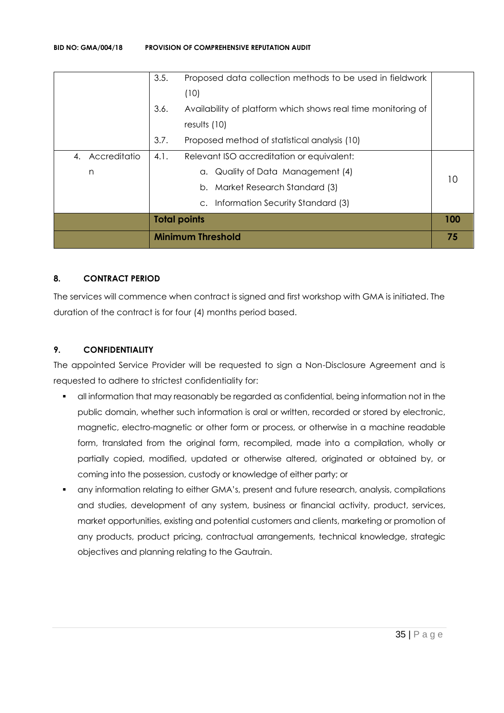|                 |                     | <b>Minimum Threshold</b>                                     | 75  |
|-----------------|---------------------|--------------------------------------------------------------|-----|
|                 | <b>Total points</b> |                                                              | 100 |
|                 |                     | c. Information Security Standard (3)                         |     |
|                 |                     | b. Market Research Standard (3)                              |     |
| n               |                     | a. Quality of Data Management (4)                            |     |
| 4. Accreditatio | 4.1.                | Relevant ISO accreditation or equivalent:                    |     |
|                 | 3.7.                | Proposed method of statistical analysis (10)                 |     |
|                 |                     | results $(10)$                                               |     |
|                 | 3.6.                | Availability of platform which shows real time monitoring of |     |
|                 |                     | (10)                                                         |     |
|                 | 3.5.                | Proposed data collection methods to be used in fieldwork     |     |

#### **8. CONTRACT PERIOD**

The services will commence when contract is signed and first workshop with GMA is initiated. The duration of the contract is for four (4) months period based.

#### **9. CONFIDENTIALITY**

The appointed Service Provider will be requested to sign a Non-Disclosure Agreement and is requested to adhere to strictest confidentiality for:

- all information that may reasonably be regarded as confidential, being information not in the public domain, whether such information is oral or written, recorded or stored by electronic, magnetic, electro-magnetic or other form or process, or otherwise in a machine readable form, translated from the original form, recompiled, made into a compilation, wholly or partially copied, modified, updated or otherwise altered, originated or obtained by, or coming into the possession, custody or knowledge of either party; or
- any information relating to either GMA's, present and future research, analysis, compilations and studies, development of any system, business or financial activity, product, services, market opportunities, existing and potential customers and clients, marketing or promotion of any products, product pricing, contractual arrangements, technical knowledge, strategic objectives and planning relating to the Gautrain.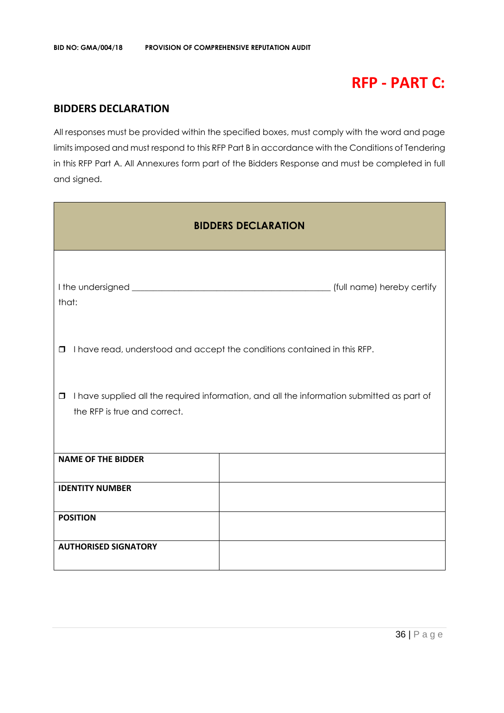### **RFP - PART C:**

#### **BIDDERS DECLARATION**

All responses must be provided within the specified boxes, must comply with the word and page limits imposed and must respond to this RFP Part B in accordance with the Conditions of Tendering in this RFP Part A. All Annexures form part of the Bidders Response and must be completed in full and signed.

| <b>BIDDERS DECLARATION</b>                                                                                                           |  |  |  |
|--------------------------------------------------------------------------------------------------------------------------------------|--|--|--|
| that:                                                                                                                                |  |  |  |
| I have read, understood and accept the conditions contained in this RFP.<br>$\Box$                                                   |  |  |  |
| I have supplied all the required information, and all the information submitted as part of<br>$\Box$<br>the RFP is true and correct. |  |  |  |
| <b>NAME OF THE BIDDER</b>                                                                                                            |  |  |  |
| <b>IDENTITY NUMBER</b>                                                                                                               |  |  |  |
| <b>POSITION</b>                                                                                                                      |  |  |  |
| <b>AUTHORISED SIGNATORY</b>                                                                                                          |  |  |  |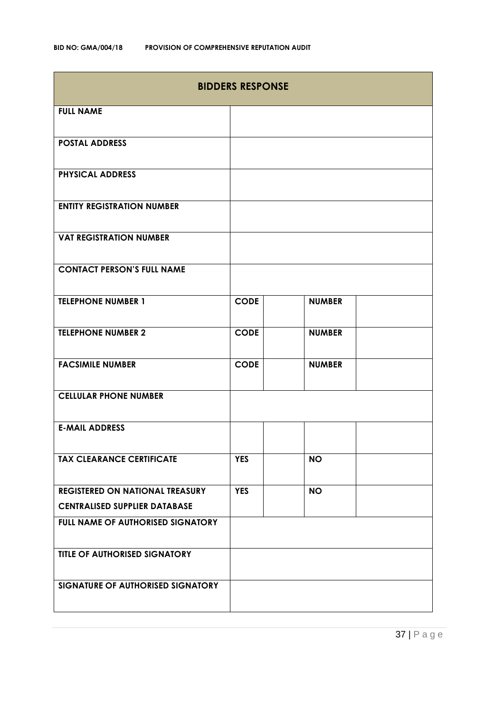| <b>BIDDERS RESPONSE</b>              |             |               |  |
|--------------------------------------|-------------|---------------|--|
| <b>FULL NAME</b>                     |             |               |  |
| <b>POSTAL ADDRESS</b>                |             |               |  |
| <b>PHYSICAL ADDRESS</b>              |             |               |  |
| <b>ENTITY REGISTRATION NUMBER</b>    |             |               |  |
| <b>VAT REGISTRATION NUMBER</b>       |             |               |  |
| <b>CONTACT PERSON'S FULL NAME</b>    |             |               |  |
| <b>TELEPHONE NUMBER 1</b>            | <b>CODE</b> | <b>NUMBER</b> |  |
| <b>TELEPHONE NUMBER 2</b>            | <b>CODE</b> | <b>NUMBER</b> |  |
| <b>FACSIMILE NUMBER</b>              | <b>CODE</b> | <b>NUMBER</b> |  |
| <b>CELLULAR PHONE NUMBER</b>         |             |               |  |
| <b>E-MAIL ADDRESS</b>                |             |               |  |
| <b>TAX CLEARANCE CERTIFICATE</b>     | <b>YES</b>  | <b>NO</b>     |  |
| REGISTERED ON NATIONAL TREASURY      | <b>YES</b>  | <b>NO</b>     |  |
| <b>CENTRALISED SUPPLIER DATABASE</b> |             |               |  |
| FULL NAME OF AUTHORISED SIGNATORY    |             |               |  |
| TITLE OF AUTHORISED SIGNATORY        |             |               |  |
| SIGNATURE OF AUTHORISED SIGNATORY    |             |               |  |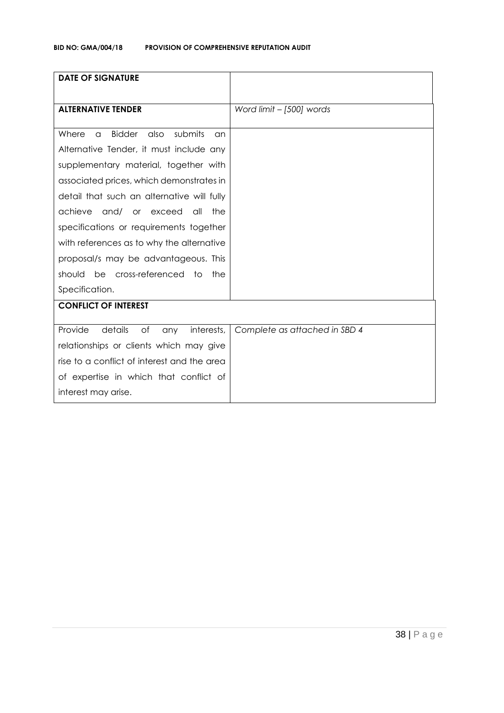| <b>DATE OF SIGNATURE</b>                                    |                               |
|-------------------------------------------------------------|-------------------------------|
|                                                             |                               |
| <b>ALTERNATIVE TENDER</b>                                   | Word limit - [500] words      |
|                                                             |                               |
| <b>Bidder</b><br>also<br>submits<br>Where<br>$\alpha$<br>an |                               |
| Alternative Tender, it must include any                     |                               |
| supplementary material, together with                       |                               |
| associated prices, which demonstrates in                    |                               |
| detail that such an alternative will fully                  |                               |
| achieve<br>and/ or exceed<br>the<br>all                     |                               |
| specifications or requirements together                     |                               |
| with references as to why the alternative                   |                               |
| proposal/s may be advantageous. This                        |                               |
| should be cross-referenced to<br>the                        |                               |
| Specification.                                              |                               |
| <b>CONFLICT OF INTEREST</b>                                 |                               |
|                                                             |                               |
| Provide<br>details<br>of<br>interests,<br>any               | Complete as attached in SBD 4 |
| relationships or clients which may give                     |                               |
| rise to a conflict of interest and the area                 |                               |
| of expertise in which that conflict of                      |                               |
| interest may arise.                                         |                               |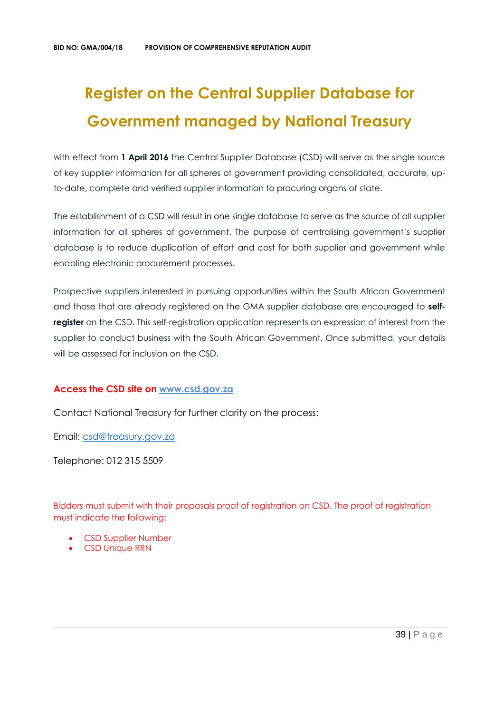# **Register on the Central Supplier Database for Government managed by National Treasury**

with effect from 1 April 2016 the Central Supplier Database (CSD) will serve as the single source of key supplier information for all spheres of government providing consolidated, accurate, upto-date, complete and verified supplier information to procuring organs of state.

The establishment of a CSD will result in one single database to serve as the source of all supplier information for all spheres of government. The purpose of centralising government's supplier database is to reduce duplication of effort and cost for both supplier and government while enabling electronic procurement processes.

Prospective suppliers interested in pursuing opportunities within the South African Government and those that are already registered on the GMA supplier database are encouraged to **selfregister** on the CSD. This self-registration application represents an expression of interest from the supplier to conduct business with the South African Government. Once submitted, your details will be assessed for inclusion on the CSD.

## **Access the CSD site on [www.csd.gov.za](http://www.csd.gov.za/)**

Contact National Treasury for further clarity on the process:

Email: [csd@treasury.gov.za](mailto:csd@treasury.gov.za)

Telephone: 012 315 5509

Bidders must submit with their proposals proof of registration on CSD. The proof of registration must indicate the following:

- CSD Supplier Number
- CSD Unique RRN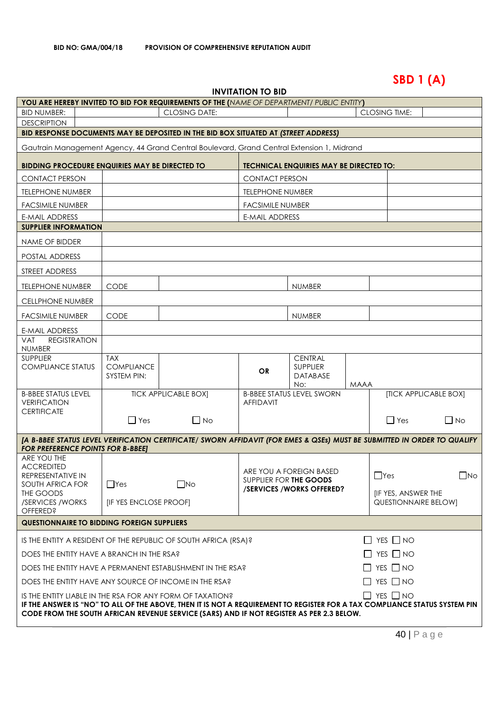# **SBD 1 (A)**

| <b>INVITATION TO BID</b> |  |
|--------------------------|--|
|--------------------------|--|

| <b>YOU ARE HEREBY INVITED TO BID FOR REQUIREMENTS OF THE (NAME OF DEPARTMENT/ PUBLIC ENTITY)</b>                                                                                                                       |                                  |                             |                         |                                                |             |                                                          |                              |
|------------------------------------------------------------------------------------------------------------------------------------------------------------------------------------------------------------------------|----------------------------------|-----------------------------|-------------------------|------------------------------------------------|-------------|----------------------------------------------------------|------------------------------|
| <b>BID NUMBER:</b>                                                                                                                                                                                                     |                                  | <b>CLOSING DATE:</b>        |                         |                                                |             | <b>CLOSING TIME:</b>                                     |                              |
| <b>DESCRIPTION</b>                                                                                                                                                                                                     |                                  |                             |                         |                                                |             |                                                          |                              |
| BID RESPONSE DOCUMENTS MAY BE DEPOSITED IN THE BID BOX SITUATED AT (STREET ADDRESS)                                                                                                                                    |                                  |                             |                         |                                                |             |                                                          |                              |
| Gautrain Management Agency, 44 Grand Central Boulevard, Grand Central Extension 1, Midrand                                                                                                                             |                                  |                             |                         |                                                |             |                                                          |                              |
| <b>BIDDING PROCEDURE ENQUIRIES MAY BE DIRECTED TO</b>                                                                                                                                                                  |                                  |                             |                         | <b>TECHNICAL ENQUIRIES MAY BE DIRECTED TO:</b> |             |                                                          |                              |
| <b>CONTACT PERSON</b>                                                                                                                                                                                                  |                                  |                             | <b>CONTACT PERSON</b>   |                                                |             |                                                          |                              |
| <b>TELEPHONE NUMBER</b>                                                                                                                                                                                                |                                  |                             | <b>TELEPHONE NUMBER</b> |                                                |             |                                                          |                              |
| <b>FACSIMILE NUMBER</b>                                                                                                                                                                                                |                                  |                             | <b>FACSIMILE NUMBER</b> |                                                |             |                                                          |                              |
| <b>E-MAIL ADDRESS</b>                                                                                                                                                                                                  |                                  |                             | <b>E-MAIL ADDRESS</b>   |                                                |             |                                                          |                              |
| <b>SUPPLIER INFORMATION</b>                                                                                                                                                                                            |                                  |                             |                         |                                                |             |                                                          |                              |
| NAME OF BIDDER                                                                                                                                                                                                         |                                  |                             |                         |                                                |             |                                                          |                              |
| POSTAL ADDRESS                                                                                                                                                                                                         |                                  |                             |                         |                                                |             |                                                          |                              |
| STREET ADDRESS                                                                                                                                                                                                         |                                  |                             |                         |                                                |             |                                                          |                              |
| <b>TELEPHONE NUMBER</b>                                                                                                                                                                                                | <b>CODE</b>                      |                             |                         | <b>NUMBER</b>                                  |             |                                                          |                              |
| <b>CELLPHONE NUMBER</b>                                                                                                                                                                                                |                                  |                             |                         |                                                |             |                                                          |                              |
| <b>FACSIMILE NUMBER</b>                                                                                                                                                                                                | <b>CODE</b>                      |                             |                         | <b>NUMBER</b>                                  |             |                                                          |                              |
| <b>E-MAIL ADDRESS</b>                                                                                                                                                                                                  |                                  |                             |                         |                                                |             |                                                          |                              |
| <b>REGISTRATION</b><br><b>VAT</b><br><b>NUMBER</b>                                                                                                                                                                     |                                  |                             |                         |                                                |             |                                                          |                              |
| <b>SUPPLIER</b>                                                                                                                                                                                                        | <b>TAX</b>                       |                             |                         | <b>CENTRAL</b>                                 |             |                                                          |                              |
| <b>COMPLIANCE STATUS</b>                                                                                                                                                                                               | <b>COMPLIANCE</b><br>SYSTEM PIN: |                             | <b>OR</b>               | <b>SUPPLIER</b><br><b>DATABASE</b>             |             |                                                          |                              |
|                                                                                                                                                                                                                        |                                  |                             |                         | No:                                            | <b>MAAA</b> |                                                          |                              |
| <b>B-BBEE STATUS LEVEL</b><br><b>VERIFICATION</b>                                                                                                                                                                      |                                  | <b>TICK APPLICABLE BOXI</b> | <b>AFFIDAVIT</b>        | <b>B-BBEE STATUS LEVEL SWORN</b>               |             |                                                          | <b>[TICK APPLICABLE BOX]</b> |
| <b>CERTIFICATE</b>                                                                                                                                                                                                     | $\Box$ Yes                       | $\Box$ No                   |                         |                                                |             | $\Box$ Yes                                               | $\Box$ No                    |
|                                                                                                                                                                                                                        |                                  |                             |                         |                                                |             |                                                          |                              |
| [A B-BBEE STATUS LEVEL VERIFICATION CERTIFICATE/ SWORN AFFIDAVIT (FOR EMES & QSEs) MUST BE SUBMITTED IN ORDER TO QUALIFY<br><b>FOR PREFERENCE POINTS FOR B-BBEET</b>                                                   |                                  |                             |                         |                                                |             |                                                          |                              |
| ARE YOU THE<br><b>ACCREDITED</b>                                                                                                                                                                                       |                                  |                             |                         |                                                |             |                                                          |                              |
| REPRESENTATIVE IN                                                                                                                                                                                                      |                                  |                             |                         | ARE YOU A FOREIGN BASED                        |             | $\Box$ Yes                                               | $\Box$ No                    |
| SOUTH AFRICA FOR                                                                                                                                                                                                       | $\Box$ Yes                       | $\square$ No                | SUPPLIER FOR THE GOODS  | /SERVICES/WORKS OFFERED?                       |             |                                                          |                              |
| THE GOODS<br>/SERVICES / WORKS                                                                                                                                                                                         | <b>[IF YES ENCLOSE PROOF]</b>    |                             |                         |                                                |             | <b>IF YES, ANSWER THE</b><br><b>QUESTIONNAIRE BELOW]</b> |                              |
| <b>OFFERED?</b>                                                                                                                                                                                                        |                                  |                             |                         |                                                |             |                                                          |                              |
| <b>QUESTIONNAIRE TO BIDDING FOREIGN SUPPLIERS</b>                                                                                                                                                                      |                                  |                             |                         |                                                |             |                                                          |                              |
| $\Box$ YES $\Box$ NO<br>IS THE ENTITY A RESIDENT OF THE REPUBLIC OF SOUTH AFRICA (RSA)?                                                                                                                                |                                  |                             |                         |                                                |             |                                                          |                              |
| $\Box$ YES $\Box$ NO<br>DOES THE ENTITY HAVE A BRANCH IN THE RSA?                                                                                                                                                      |                                  |                             |                         |                                                |             |                                                          |                              |
| $\Box$ YES $\Box$ NO<br>DOES THE ENTITY HAVE A PERMANENT ESTABLISHMENT IN THE RSA?                                                                                                                                     |                                  |                             |                         |                                                |             |                                                          |                              |
| $\Box$ YES $\Box$ NO<br>DOES THE ENTITY HAVE ANY SOURCE OF INCOME IN THE RSA?                                                                                                                                          |                                  |                             |                         |                                                |             |                                                          |                              |
| $\Box$ YES $\Box$ NO<br>IS THE ENTITY LIABLE IN THE RSA FOR ANY FORM OF TAXATION?                                                                                                                                      |                                  |                             |                         |                                                |             |                                                          |                              |
| IF THE ANSWER IS "NO" TO ALL OF THE ABOVE, THEN IT IS NOT A REQUIREMENT TO REGISTER FOR A TAX COMPLIANCE STATUS SYSTEM PIN<br>CODE FROM THE SOUTH AFRICAN REVENUE SERVICE (SARS) AND IF NOT REGISTER AS PER 2.3 BELOW. |                                  |                             |                         |                                                |             |                                                          |                              |
|                                                                                                                                                                                                                        |                                  |                             |                         |                                                |             |                                                          |                              |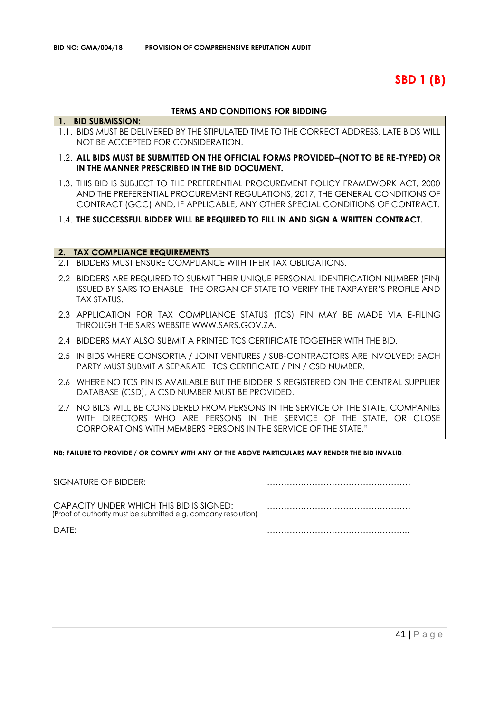**SBD 1 (B)**

## **TERMS AND CONDITIONS FOR BIDDING**

|     | 1. BID SUBMISSION:                                                                                                                                                                                                                                   |
|-----|------------------------------------------------------------------------------------------------------------------------------------------------------------------------------------------------------------------------------------------------------|
|     | 1.1. BIDS MUST BE DELIVERED BY THE STIPULATED TIME TO THE CORRECT ADDRESS. LATE BIDS WILL<br>NOT BE ACCEPTED FOR CONSIDERATION.                                                                                                                      |
|     | 1.2. ALL BIDS MUST BE SUBMITTED ON THE OFFICIAL FORMS PROVIDED-(NOT TO BE RE-TYPED) OR<br>IN THE MANNER PRESCRIBED IN THE BID DOCUMENT.                                                                                                              |
|     | 1.3. THIS BID IS SUBJECT TO THE PREFERENTIAL PROCUREMENT POLICY FRAMEWORK ACT, 2000<br>AND THE PREFERENTIAL PROCUREMENT REGULATIONS, 2017, THE GENERAL CONDITIONS OF<br>CONTRACT (GCC) AND, IF APPLICABLE, ANY OTHER SPECIAL CONDITIONS OF CONTRACT. |
|     | 1.4. THE SUCCESSFUL BIDDER WILL BE REQUIRED TO FILL IN AND SIGN A WRITTEN CONTRACT.                                                                                                                                                                  |
|     |                                                                                                                                                                                                                                                      |
| 2.  | <b>TAX COMPLIANCE REQUIREMENTS</b>                                                                                                                                                                                                                   |
| 2.1 | BIDDERS MUST ENSURE COMPLIANCE WITH THEIR TAX OBLIGATIONS.                                                                                                                                                                                           |
|     | 2.2 BIDDERS ARE REQUIRED TO SUBMIT THEIR UNIQUE PERSONAL IDENTIFICATION NUMBER (PIN)<br>ISSUED BY SARS TO ENABLE THE ORGAN OF STATE TO VERIFY THE TAXPAYER'S PROFILE AND<br><b>TAX STATUS.</b>                                                       |
|     | 2.3 APPLICATION FOR TAX COMPLIANCE STATUS (TCS) PIN MAY BE MADE VIA E-FILING<br>THROUGH THE SARS WEBSITE WWW.SARS.GOV.ZA.                                                                                                                            |
|     | 2.4 BIDDERS MAY ALSO SUBMIT A PRINTED TCS CERTIFICATE TOGETHER WITH THE BID.                                                                                                                                                                         |
|     | 2.5 IN BIDS WHERE CONSORTIA / JOINT VENTURES / SUB-CONTRACTORS ARE INVOLVED; EACH<br>PARTY MUST SUBMIT A SEPARATE TCS CERTIFICATE / PIN / CSD NUMBER.                                                                                                |
|     | 2.6 WHERE NO TCS PIN IS AVAILABLE BUT THE BIDDER IS REGISTERED ON THE CENTRAL SUPPLIER<br>DATABASE (CSD), A CSD NUMBER MUST BE PROVIDED.                                                                                                             |
|     | 2.7 NO BIDS WILL BE CONSIDERED FROM PERSONS IN THE SERVICE OF THE STATE, COMPANIES<br>WITH DIRECTORS WHO ARE PERSONS IN THE SERVICE OF THE STATE, OR CLOSE<br>CORPORATIONS WITH MEMBERS PERSONS IN THE SERVICE OF THE STATE."                        |

**NB: FAILURE TO PROVIDE / OR COMPLY WITH ANY OF THE ABOVE PARTICULARS MAY RENDER THE BID INVALID**.

| SIGNATURE OF BIDDER:                                                                                       |  |
|------------------------------------------------------------------------------------------------------------|--|
| CAPACITY UNDER WHICH THIS BID IS SIGNED:<br>(Proof of authority must be submitted e.g. company resolution) |  |
| DATF:                                                                                                      |  |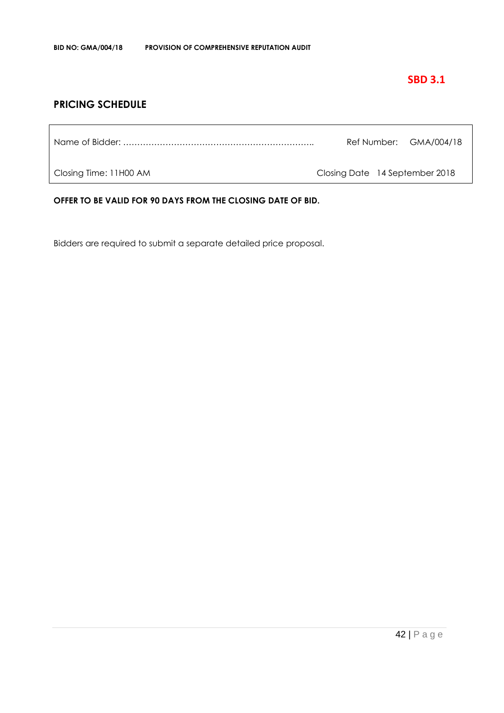## **SBD 3.1**

## **PRICING SCHEDULE**

| Ref Number: GMA/004/18 |  |
|------------------------|--|
|                        |  |

Closing Time: 11H00 AM Closing Date 14 September 2018

**OFFER TO BE VALID FOR 90 DAYS FROM THE CLOSING DATE OF BID.**

Bidders are required to submit a separate detailed price proposal.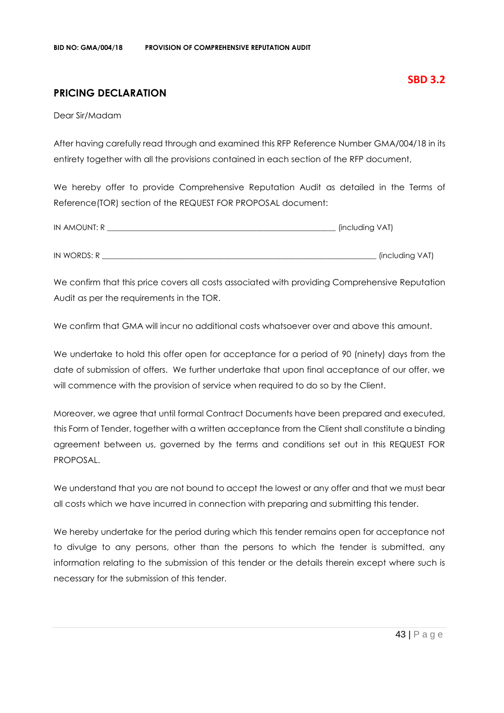## **PRICING DECLARATION**

Dear Sir/Madam

After having carefully read through and examined this RFP Reference Number GMA/004/18 in its entirety together with all the provisions contained in each section of the RFP document,

We hereby offer to provide Comprehensive Reputation Audit as detailed in the Terms of Reference(TOR) section of the REQUEST FOR PROPOSAL document:

| IN AMOUNT: R | (including VAT) |
|--------------|-----------------|
|              |                 |
| IN WORDS: R  | (including VAT) |

We confirm that this price covers all costs associated with providing Comprehensive Reputation Audit as per the requirements in the TOR.

We confirm that GMA will incur no additional costs whatsoever over and above this amount.

We undertake to hold this offer open for acceptance for a period of 90 (ninety) days from the date of submission of offers. We further undertake that upon final acceptance of our offer, we will commence with the provision of service when required to do so by the Client.

Moreover, we agree that until formal Contract Documents have been prepared and executed, this Form of Tender, together with a written acceptance from the Client shall constitute a binding agreement between us, governed by the terms and conditions set out in this REQUEST FOR PROPOSAL.

We understand that you are not bound to accept the lowest or any offer and that we must bear all costs which we have incurred in connection with preparing and submitting this tender.

We hereby undertake for the period during which this tender remains open for acceptance not to divulge to any persons, other than the persons to which the tender is submitted, any information relating to the submission of this tender or the details therein except where such is necessary for the submission of this tender.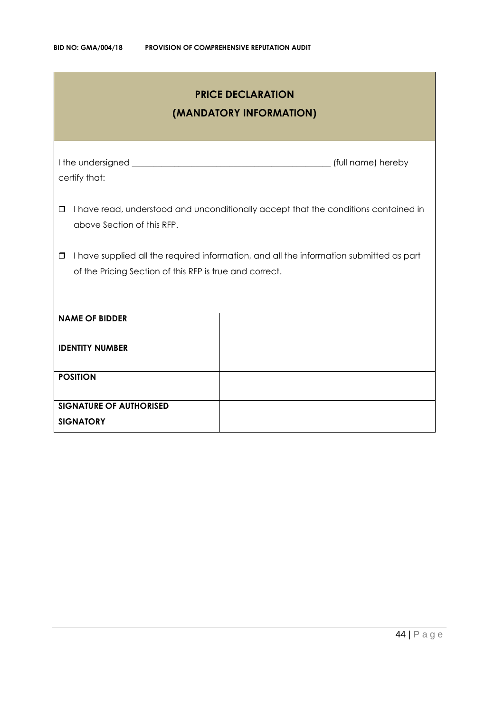| <b>PRICE DECLARATION</b><br>(MANDATORY INFORMATION)                                                                                                     |  |  |  |
|---------------------------------------------------------------------------------------------------------------------------------------------------------|--|--|--|
| certify that:                                                                                                                                           |  |  |  |
| I have read, understood and unconditionally accept that the conditions contained in<br>□<br>above Section of this RFP.                                  |  |  |  |
| I have supplied all the required information, and all the information submitted as part<br>0<br>of the Pricing Section of this RFP is true and correct. |  |  |  |
| <b>NAME OF BIDDER</b>                                                                                                                                   |  |  |  |
| <b>IDENTITY NUMBER</b>                                                                                                                                  |  |  |  |
| <b>POSITION</b>                                                                                                                                         |  |  |  |
| <b>SIGNATURE OF AUTHORISED</b><br><b>SIGNATORY</b>                                                                                                      |  |  |  |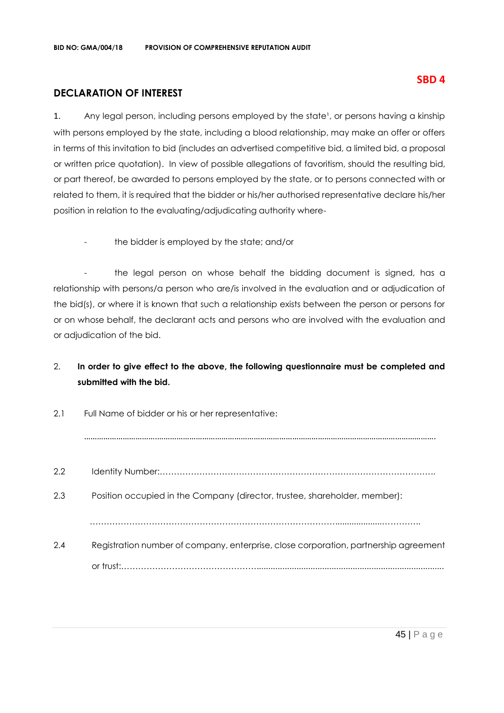## **DECLARATION OF INTEREST**

1. Any legal person, including persons employed by the state<sup>1</sup>, or persons having a kinship with persons employed by the state, including a blood relationship, may make an offer or offers in terms of this invitation to bid (includes an advertised competitive bid, a limited bid, a proposal or written price quotation). In view of possible allegations of favoritism, should the resulting bid, or part thereof, be awarded to persons employed by the state, or to persons connected with or related to them, it is required that the bidder or his/her authorised representative declare his/her position in relation to the evaluating/adjudicating authority where-

the bidder is employed by the state; and/or

- the legal person on whose behalf the bidding document is signed, has a relationship with persons/a person who are/is involved in the evaluation and or adjudication of the bid(s), or where it is known that such a relationship exists between the person or persons for or on whose behalf, the declarant acts and persons who are involved with the evaluation and or adjudication of the bid.

## 2. **In order to give effect to the above, the following questionnaire must be completed and submitted with the bid.**

| 2.1<br>Full Name of bidder or his or her representative: |                                                                                      |  |
|----------------------------------------------------------|--------------------------------------------------------------------------------------|--|
|                                                          |                                                                                      |  |
| 2.2                                                      |                                                                                      |  |
| 2.3                                                      | Position occupied in the Company (director, trustee, shareholder, member):           |  |
|                                                          |                                                                                      |  |
| 2.4                                                      | Registration number of company, enterprise, close corporation, partnership agreement |  |
|                                                          |                                                                                      |  |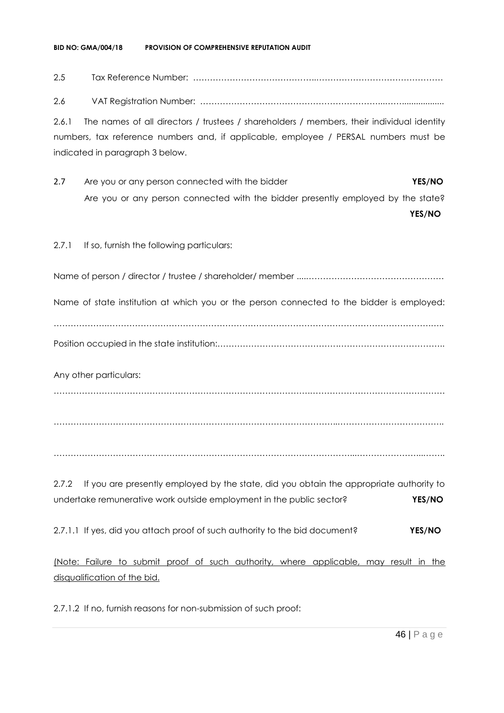#### **BID NO: GMA/004/18 PROVISION OF COMPREHENSIVE REPUTATION AUDIT**

## 2.5 Tax Reference Number: ……………………………………..………………………………………

2.6 VAT Registration Number: ………………………………………………………...……..................

2.6.1 The names of all directors / trustees / shareholders / members, their individual identity numbers, tax reference numbers and, if applicable, employee / PERSAL numbers must be indicated in paragraph 3 below.

2.7 Are you or any person connected with the bidder **YES/NO** Are you or any person connected with the bidder presently employed by the state?

**YES/NO**

## 2.7.1 If so, furnish the following particulars:

Name of person / director / trustee / shareholder/ member ....………………………………………….

Name of state institution at which you or the person connected to the bidder is employed:

……………….…………………………………………………………………………………………………….….. Position occupied in the state institution:…………………………………….………………………………..

Any other particulars:

……………………………………………………………………………….…………………………………………

………………………………………………………………………………………..………………………………..

……………………………………………………………………………………………...…………………...……..

2.7.2 If you are presently employed by the state, did you obtain the appropriate authority to undertake remunerative work outside employment in the public sector? **YES/NO**

2.7.1.1 If yes, did you attach proof of such authority to the bid document? **YES/NO**

(Note: Failure to submit proof of such authority, where applicable, may result in the disqualification of the bid.

2.7.1.2 If no, furnish reasons for non-submission of such proof: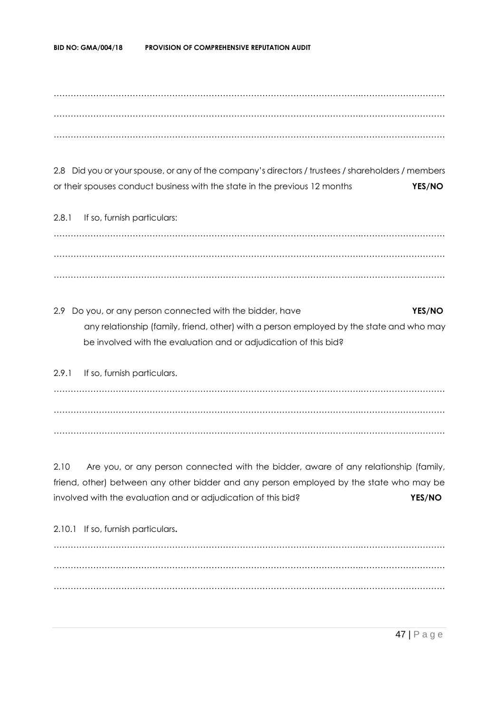……………………………………………………………………………………………….………………………… ……………………………………………………………………………………………….………………………… ……………………………………………………………………………………………….…………………………

2.8 Did you or your spouse, or any of the company's directors / trustees / shareholders / members or their spouses conduct business with the state in the previous 12 months **YES/NO**

2.8.1 If so, furnish particulars: ……………………………………………………………………………………………….………………………… ……………………………………………………………………………………………….………………………… ……………………………………………………………………………………………….…………………………

2.9 Do you, or any person connected with the bidder, have **YES/NO** any relationship (family, friend, other) with a person employed by the state and who may be involved with the evaluation and or adjudication of this bid?

2.9.1 If so, furnish particulars. ……………………………………………………………………………………………….………………………… ……………………………………………………………………………………………….………………………… ……………………………………………………………………………………………….…………………………

2.10 Are you, or any person connected with the bidder, aware of any relationship (family, friend, other) between any other bidder and any person employed by the state who may be involved with the evaluation and or adjudication of this bid? **YES/NO**

2.10.1 If so, furnish particulars**.** ……………………………………………………………………………………………….………………………… ……………………………………………………………………………………………….………………………… ……………………………………………………………………………………………….…………………………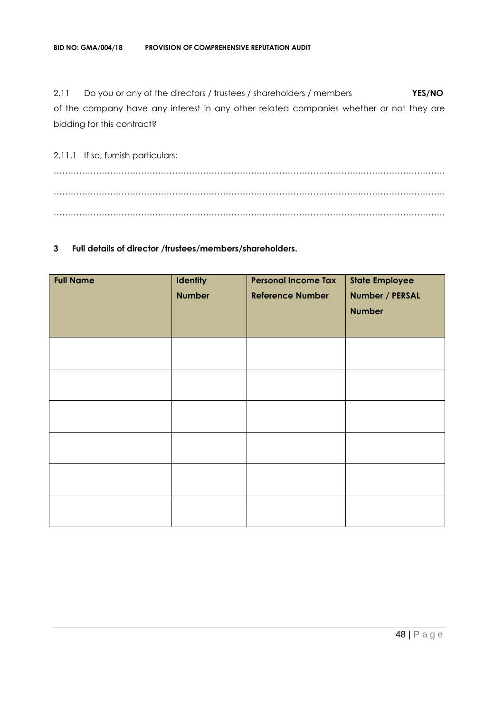2.11 Do you or any of the directors / trustees / shareholders / members **YES/NO** of the company have any interest in any other related companies whether or not they are bidding for this contract?

2.11.1 If so, furnish particulars: ……………………………………………………………………………………………….………………………… ……………………………………………………………………………………………….………………………… ……………………………………………………………………………………………….…………………………

## **3 Full details of director /trustees/members/shareholders.**

| <b>Full Name</b> | <b>Identity</b><br><b>Number</b> | <b>Personal Income Tax</b><br><b>Reference Number</b> | <b>State Employee</b><br>Number / PERSAL<br><b>Number</b> |
|------------------|----------------------------------|-------------------------------------------------------|-----------------------------------------------------------|
|                  |                                  |                                                       |                                                           |
|                  |                                  |                                                       |                                                           |
|                  |                                  |                                                       |                                                           |
|                  |                                  |                                                       |                                                           |
|                  |                                  |                                                       |                                                           |
|                  |                                  |                                                       |                                                           |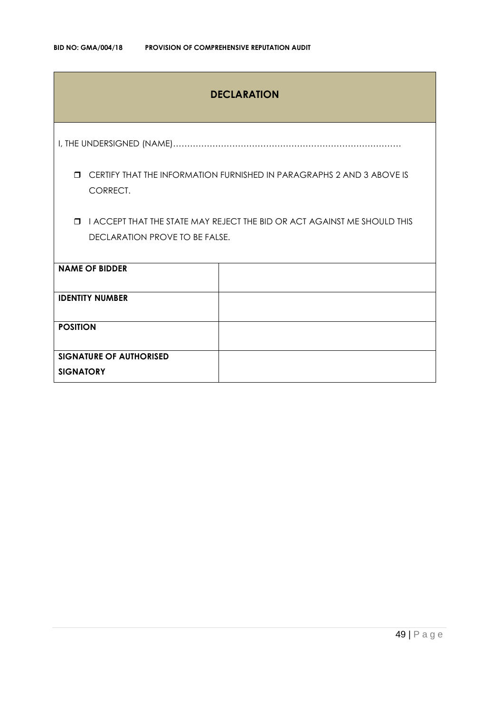## **DECLARATION**

I, THE UNDERSIGNED (NAME)………………………………………………………………………

 CERTIFY THAT THE INFORMATION FURNISHED IN PARAGRAPHS 2 AND 3 ABOVE IS CORRECT.

 I ACCEPT THAT THE STATE MAY REJECT THE BID OR ACT AGAINST ME SHOULD THIS DECLARATION PROVE TO BE FALSE.

| <b>NAME OF BIDDER</b>          |  |
|--------------------------------|--|
|                                |  |
| <b>IDENTITY NUMBER</b>         |  |
|                                |  |
|                                |  |
|                                |  |
| <b>POSITION</b>                |  |
|                                |  |
|                                |  |
|                                |  |
| <b>SIGNATURE OF AUTHORISED</b> |  |
|                                |  |
|                                |  |
| <b>SIGNATORY</b>               |  |
|                                |  |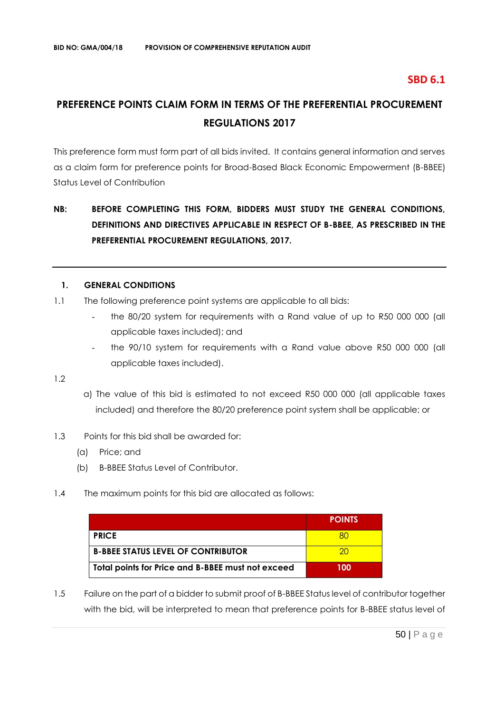## **SBD 6.1**

# **PREFERENCE POINTS CLAIM FORM IN TERMS OF THE PREFERENTIAL PROCUREMENT REGULATIONS 2017**

This preference form must form part of all bids invited. It contains general information and serves as a claim form for preference points for Broad-Based Black Economic Empowerment (B-BBEE) Status Level of Contribution

## **NB: BEFORE COMPLETING THIS FORM, BIDDERS MUST STUDY THE GENERAL CONDITIONS, DEFINITIONS AND DIRECTIVES APPLICABLE IN RESPECT OF B-BBEE, AS PRESCRIBED IN THE PREFERENTIAL PROCUREMENT REGULATIONS, 2017.**

## **1. GENERAL CONDITIONS**

- 1.1 The following preference point systems are applicable to all bids:
	- the 80/20 system for requirements with a Rand value of up to R50 000 000 (all applicable taxes included); and
	- the 90/10 system for requirements with a Rand value above R50 000 000 (all applicable taxes included).

1.2

- a) The value of this bid is estimated to not exceed R50 000 000 (all applicable taxes included) and therefore the 80/20 preference point system shall be applicable; or
- 1.3 Points for this bid shall be awarded for:
	- (a) Price; and
	- (b) B-BBEE Status Level of Contributor.
- 1.4 The maximum points for this bid are allocated as follows:

|                                                   | <b>POINTS</b> |
|---------------------------------------------------|---------------|
| <b>PRICE</b>                                      |               |
| <b>B-BBEE STATUS LEVEL OF CONTRIBUTOR</b>         | 20.           |
| Total points for Price and B-BBEE must not exceed | 100           |

1.5 Failure on the part of a bidder to submit proof of B-BBEE Status level of contributor together with the bid, will be interpreted to mean that preference points for B-BBEE status level of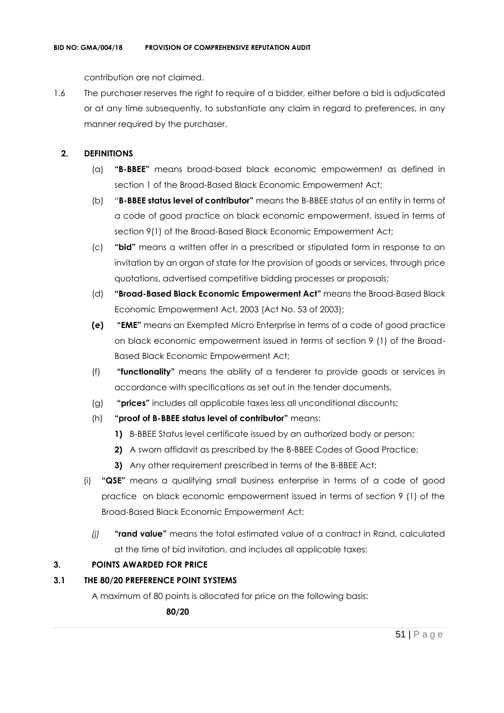contribution are not claimed.

1.6 The purchaser reserves the right to require of a bidder, either before a bid is adjudicated or at any time subsequently, to substantiate any claim in regard to preferences, in any manner required by the purchaser.

## **2. DEFINITIONS**

- (a) **"B-BBEE"** means broad-based black economic empowerment as defined in section 1 of the Broad-Based Black Economic Empowerment Act;
- (b) "**B-BBEE status level of contributor"** means the B-BBEE status of an entity in terms of a code of good practice on black economic empowerment, issued in terms of section 9(1) of the Broad-Based Black Economic Empowerment Act;
- (c) **"bid"** means a written offer in a prescribed or stipulated form in response to an invitation by an organ of state for the provision of goods or services, through price quotations, advertised competitive bidding processes or proposals;
- (d) **"Broad-Based Black Economic Empowerment Act"** means the Broad-Based Black Economic Empowerment Act, 2003 (Act No. 53 of 2003);
- **(e) "EME"** means an Exempted Micro Enterprise in terms of a code of good practice on black economic empowerment issued in terms of section 9 (1) of the Broad-Based Black Economic Empowerment Act;
- (f) **"functionality"** means the ability of a tenderer to provide goods or services in accordance with specifications as set out in the tender documents.
- (g) **"prices"** includes all applicable taxes less all unconditional discounts;
- (h) **"proof of B-BBEE status level of contributor"** means:
	- **1)** B-BBEE Status level certificate issued by an authorized body or person;
	- **2)** A sworn affidavit as prescribed by the B-BBEE Codes of Good Practice;
	- **3)** Any other requirement prescribed in terms of the B-BBEE Act;
- (i) **"QSE"** means a qualifying small business enterprise in terms of a code of good practice on black economic empowerment issued in terms of section 9 (1) of the Broad-Based Black Economic Empowerment Act;
	- *(j)* **"rand value"** means the total estimated value of a contract in Rand, calculated at the time of bid invitation, and includes all applicable taxes;

## **3. POINTS AWARDED FOR PRICE**

## **3.1 THE 80/20 PREFERENCE POINT SYSTEMS**

A maximum of 80 points is allocated for price on the following basis:

 **80/20**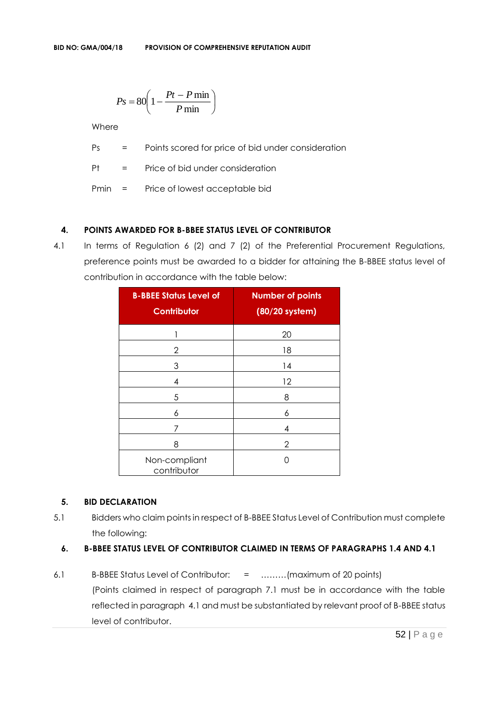$$
Ps = 80 \left( 1 - \frac{Pt - P \min}{P \min} \right)
$$

**Where** 

Ps = Points scored for price of bid under consideration

Pt = Price of bid under consideration

Pmin = Price of lowest acceptable bid

## **4. POINTS AWARDED FOR B-BBEE STATUS LEVEL OF CONTRIBUTOR**

4.1 In terms of Regulation 6 (2) and 7 (2) of the Preferential Procurement Regulations, preference points must be awarded to a bidder for attaining the B-BBEE status level of contribution in accordance with the table below:

| <b>B-BBEE Status Level of</b><br><b>Contributor</b> | <b>Number of points</b><br>(80/20 system) |
|-----------------------------------------------------|-------------------------------------------|
| 1                                                   | 20                                        |
| 2                                                   | 18                                        |
| 3                                                   | 14                                        |
| 4                                                   | 12                                        |
| 5                                                   | 8                                         |
| 6                                                   | 6                                         |
| 7                                                   | 4                                         |
| 8                                                   | 2                                         |
| Non-compliant<br>contributor                        | ( )                                       |

## **5. BID DECLARATION**

5.1 Bidders who claim points in respect of B-BBEE Status Level of Contribution must complete the following:

## **6. B-BBEE STATUS LEVEL OF CONTRIBUTOR CLAIMED IN TERMS OF PARAGRAPHS 1.4 AND 4.1**

6.1 B-BBEE Status Level of Contributor: = ………(maximum of 20 points) (Points claimed in respect of paragraph 7.1 must be in accordance with the table reflected in paragraph 4.1 and must be substantiated by relevant proof of B-BBEE status level of contributor.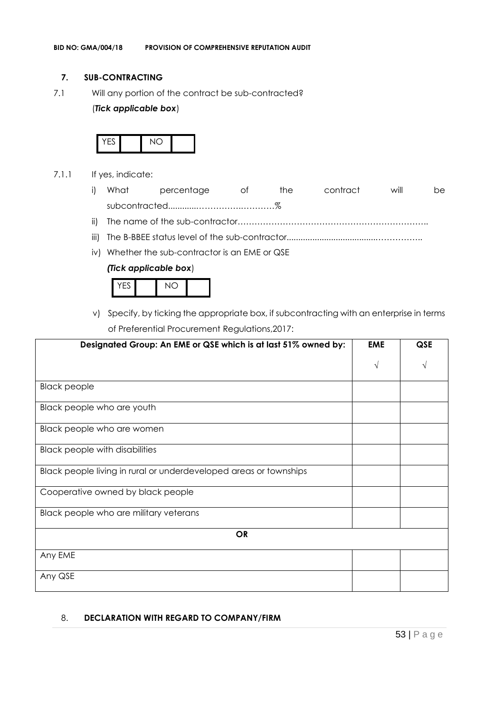## **7. SUB-CONTRACTING**

7.1 Will any portion of the contract be sub-contracted?

## (*Tick applicable box*)



- 7.1.1 If yes, indicate:
	- i) What percentage of the contract will be subcontracted............…………….…………%
	- ii) The name of the sub-contractor…………………………………………………………..
	- iii) The B-BBEE status level of the sub-contractor......................................……………..
	- iv) Whether the sub-contractor is an EME or QSE

## *(Tick applicable box*)



v) Specify, by ticking the appropriate box, if subcontracting with an enterprise in terms of Preferential Procurement Regulations,2017:

| Designated Group: An EME or QSE which is at last 51% owned by:    | <b>EME</b> | <b>QSE</b> |
|-------------------------------------------------------------------|------------|------------|
|                                                                   | $\sqrt{ }$ |            |
| <b>Black people</b>                                               |            |            |
| Black people who are youth                                        |            |            |
| Black people who are women                                        |            |            |
| <b>Black people with disabilities</b>                             |            |            |
| Black people living in rural or underdeveloped areas or townships |            |            |
| Cooperative owned by black people                                 |            |            |
| Black people who are military veterans                            |            |            |
| <b>OR</b>                                                         |            |            |
| Any EME                                                           |            |            |
| Any QSE                                                           |            |            |

## 8. **DECLARATION WITH REGARD TO COMPANY/FIRM**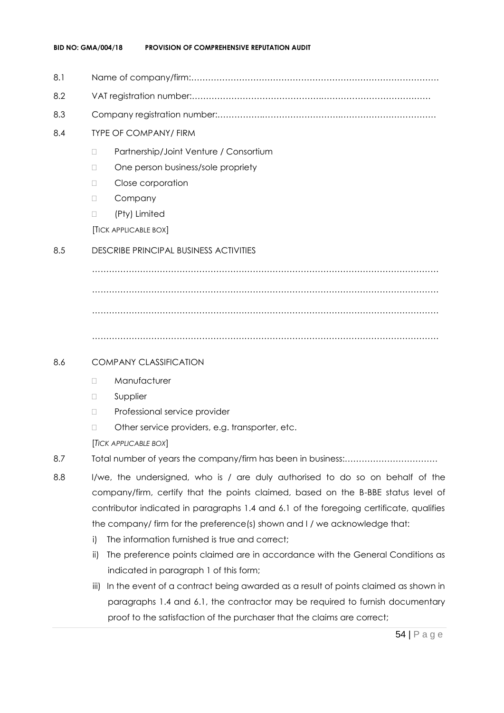- 8.1 Name of company/firm:…………………………………………………………………………….
- 8.2 VAT registration number:……………………………………….…………………………………
- 8.3 Company registration number:…………….……………………….…………………………….
- 8.4 TYPE OF COMPANY/ FIRM
	- D Partnership/Joint Venture / Consortium
	- □ One person business/sole propriety
	- D Close corporation
	- D Company
	- □ (Pty) Limited

[TICK APPLICABLE BOX]

## 8.5 DESCRIBE PRINCIPAL BUSINESS ACTIVITIES

…………………………………………………………………………………………………………… …………………………………………………………………………………………………………… ……………………………………………………………………………………………………………

……………………………………………………………………………………………………………

## 8.6 COMPANY CLASSIFICATION

- Manufacturer
- **D** Supplier
- D Professional service provider
- □ Other service providers, e.g. transporter, etc.

[*TICK APPLICABLE BOX*]

- 8.7 Total number of years the company/firm has been in business:……………………………
- 8.8 I/we, the undersigned, who is / are duly authorised to do so on behalf of the company/firm, certify that the points claimed, based on the B-BBE status level of contributor indicated in paragraphs 1.4 and 6.1 of the foregoing certificate, qualifies the company/ firm for the preference(s) shown and I / we acknowledge that:
	- i) The information furnished is true and correct;
	- ii) The preference points claimed are in accordance with the General Conditions as indicated in paragraph 1 of this form;
	- iii) In the event of a contract being awarded as a result of points claimed as shown in paragraphs 1.4 and 6.1, the contractor may be required to furnish documentary proof to the satisfaction of the purchaser that the claims are correct;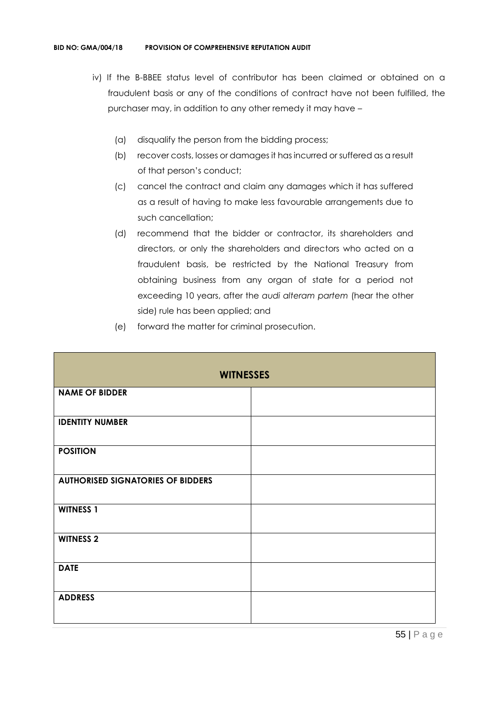- iv) If the B-BBEE status level of contributor has been claimed or obtained on a fraudulent basis or any of the conditions of contract have not been fulfilled, the purchaser may, in addition to any other remedy it may have –
	- (a) disqualify the person from the bidding process;
	- (b) recover costs, losses or damages it has incurred or suffered as a result of that person's conduct;
	- (c) cancel the contract and claim any damages which it has suffered as a result of having to make less favourable arrangements due to such cancellation;
	- (d) recommend that the bidder or contractor, its shareholders and directors, or only the shareholders and directors who acted on a fraudulent basis, be restricted by the National Treasury from obtaining business from any organ of state for a period not exceeding 10 years, after the *audi alteram partem* (hear the other side) rule has been applied; and
	- (e) forward the matter for criminal prosecution.

| <b>WITNESSES</b>                         |  |  |
|------------------------------------------|--|--|
| <b>NAME OF BIDDER</b>                    |  |  |
| <b>IDENTITY NUMBER</b>                   |  |  |
| <b>POSITION</b>                          |  |  |
| <b>AUTHORISED SIGNATORIES OF BIDDERS</b> |  |  |
| <b>WITNESS 1</b>                         |  |  |
| <b>WITNESS 2</b>                         |  |  |
| <b>DATE</b>                              |  |  |
| <b>ADDRESS</b>                           |  |  |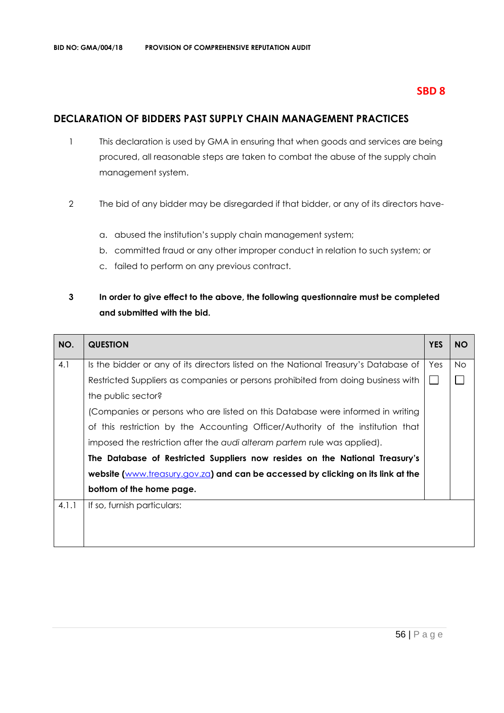## **SBD 8**

## **DECLARATION OF BIDDERS PAST SUPPLY CHAIN MANAGEMENT PRACTICES**

- 1 This declaration is used by GMA in ensuring that when goods and services are being procured, all reasonable steps are taken to combat the abuse of the supply chain management system.
- 2 The bid of any bidder may be disregarded if that bidder, or any of its directors have
	- a. abused the institution's supply chain management system;
	- b. committed fraud or any other improper conduct in relation to such system; or
	- c. failed to perform on any previous contract.

## **3 In order to give effect to the above, the following questionnaire must be completed and submitted with the bid.**

| NO.   | <b>QUESTION</b>                                                                     | <b>YES</b> | <b>NO</b> |
|-------|-------------------------------------------------------------------------------------|------------|-----------|
| 4.1   | Is the bidder or any of its directors listed on the National Treasury's Database of | Yes        | No.       |
|       | Restricted Suppliers as companies or persons prohibited from doing business with    |            |           |
|       | the public sector?                                                                  |            |           |
|       | (Companies or persons who are listed on this Database were informed in writing      |            |           |
|       | of this restriction by the Accounting Officer/Authority of the institution that     |            |           |
|       | imposed the restriction after the audi alteram partem rule was applied).            |            |           |
|       | The Database of Restricted Suppliers now resides on the National Treasury's         |            |           |
|       | website (www.treasury.gov.za) and can be accessed by clicking on its link at the    |            |           |
|       | bottom of the home page.                                                            |            |           |
| 4.1.1 | If so, furnish particulars:                                                         |            |           |
|       |                                                                                     |            |           |
|       |                                                                                     |            |           |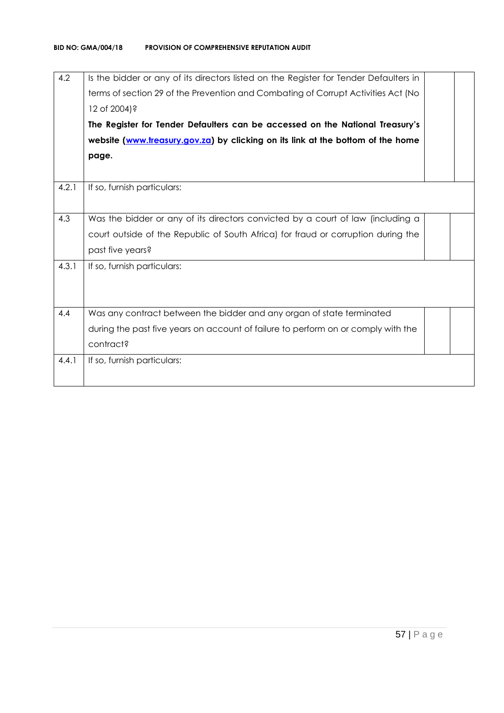| 4.2   | Is the bidder or any of its directors listed on the Register for Tender Defaulters in<br>terms of section 29 of the Prevention and Combating of Corrupt Activities Act (No<br>12 of 2004)?<br>The Register for Tender Defaulters can be accessed on the National Treasury's<br>website (www.treasury.gov.za) by clicking on its link at the bottom of the home<br>page. |  |
|-------|-------------------------------------------------------------------------------------------------------------------------------------------------------------------------------------------------------------------------------------------------------------------------------------------------------------------------------------------------------------------------|--|
| 4.2.1 | If so, furnish particulars:                                                                                                                                                                                                                                                                                                                                             |  |
| 4.3   | Was the bidder or any of its directors convicted by a court of law (including a<br>court outside of the Republic of South Africa) for fraud or corruption during the<br>past five years?                                                                                                                                                                                |  |
| 4.3.1 | If so, furnish particulars:                                                                                                                                                                                                                                                                                                                                             |  |
| 4.4   | Was any contract between the bidder and any organ of state terminated<br>during the past five years on account of failure to perform on or comply with the<br>contract?                                                                                                                                                                                                 |  |
| 4.4.1 | If so, furnish particulars:                                                                                                                                                                                                                                                                                                                                             |  |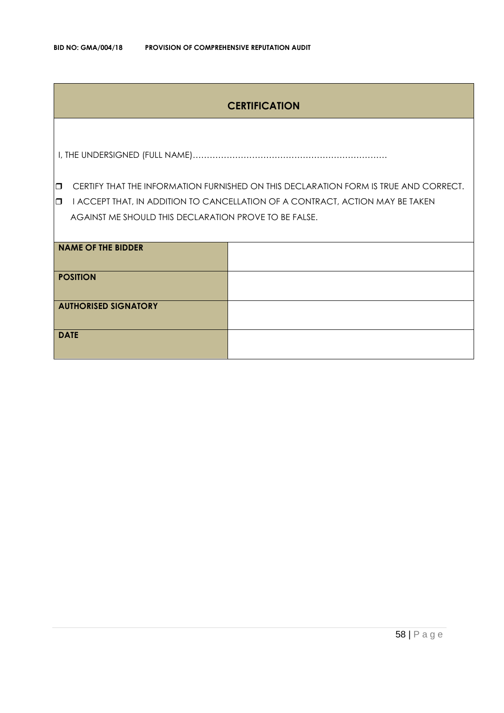## **CERTIFICATION**

I, THE UNDERSIGNED (FULL NAME)……………………………………………………………

**CERTIFY THAT THE INFORMATION FURNISHED ON THIS DECLARATION FORM IS TRUE AND CORRECT.** 

**I** I ACCEPT THAT, IN ADDITION TO CANCELLATION OF A CONTRACT, ACTION MAY BE TAKEN AGAINST ME SHOULD THIS DECLARATION PROVE TO BE FALSE.

| <b>NAME OF THE BIDDER</b>   |  |
|-----------------------------|--|
| <b>POSITION</b>             |  |
| <b>AUTHORISED SIGNATORY</b> |  |
| <b>DATE</b>                 |  |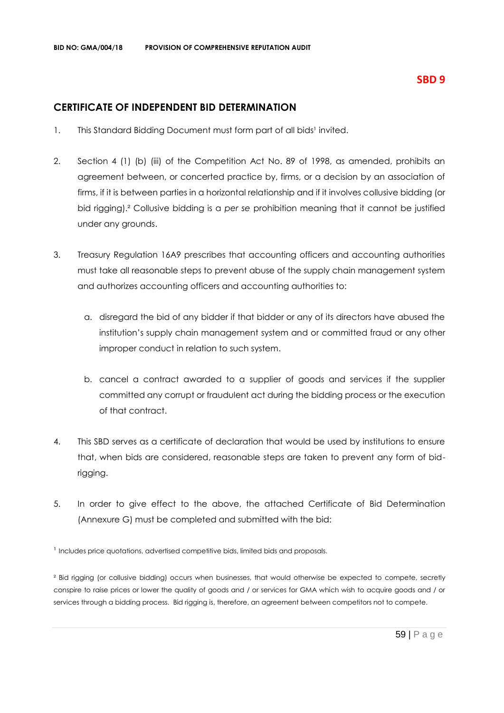## **CERTIFICATE OF INDEPENDENT BID DETERMINATION**

- 1. This Standard Bidding Document must form part of all bids<sup>1</sup> invited.
- 2. Section 4 (1) (b) (iii) of the Competition Act No. 89 of 1998, as amended, prohibits an agreement between, or concerted practice by, firms, or a decision by an association of firms, if it is between parties in a horizontal relationship and if it involves collusive bidding (or bid rigging).² Collusive bidding is a *per se* prohibition meaning that it cannot be justified under any grounds.
- 3. Treasury Regulation 16A9 prescribes that accounting officers and accounting authorities must take all reasonable steps to prevent abuse of the supply chain management system and authorizes accounting officers and accounting authorities to:
	- a. disregard the bid of any bidder if that bidder or any of its directors have abused the institution's supply chain management system and or committed fraud or any other improper conduct in relation to such system.
	- b. cancel a contract awarded to a supplier of goods and services if the supplier committed any corrupt or fraudulent act during the bidding process or the execution of that contract.
- 4. This SBD serves as a certificate of declaration that would be used by institutions to ensure that, when bids are considered, reasonable steps are taken to prevent any form of bidrigging.
- 5. In order to give effect to the above, the attached Certificate of Bid Determination (Annexure G) must be completed and submitted with the bid:

<sup>1</sup> Includes price quotations, advertised competitive bids, limited bids and proposals.

<sup>2</sup> Bid rigging (or collusive bidding) occurs when businesses, that would otherwise be expected to compete, secretly conspire to raise prices or lower the quality of goods and / or services for GMA which wish to acquire goods and / or services through a bidding process. Bid rigging is, therefore, an agreement between competitors not to compete.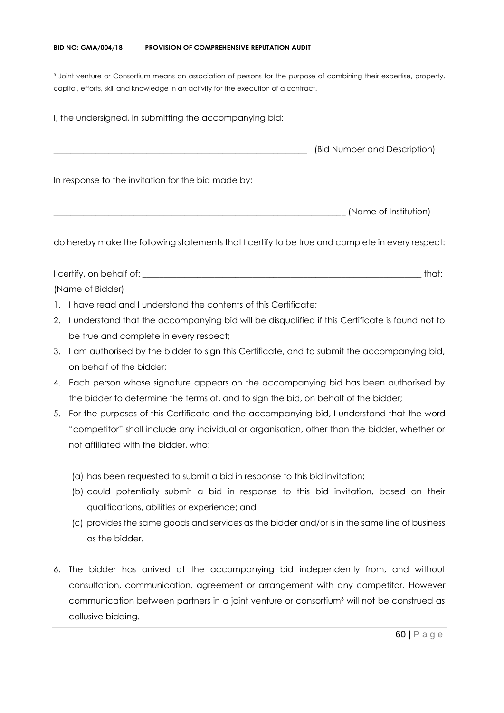#### **BID NO: GMA/004/18 PROVISION OF COMPREHENSIVE REPUTATION AUDIT**

<sup>3</sup> Joint venture or Consortium means an association of persons for the purpose of combining their expertise, property, capital, efforts, skill and knowledge in an activity for the execution of a contract.

I, the undersigned, in submitting the accompanying bid: \_\_\_\_\_\_\_\_\_\_\_\_\_\_\_\_\_\_\_\_\_\_\_\_\_\_\_\_\_\_\_\_\_\_\_\_\_\_\_\_\_\_\_\_\_\_\_\_\_\_\_\_\_\_\_\_\_\_\_\_ (Bid Number and Description) In response to the invitation for the bid made by: \_\_\_\_\_\_\_\_\_\_\_\_\_\_\_\_\_\_\_\_\_\_\_\_\_\_\_\_\_\_\_\_\_\_\_\_\_\_\_\_\_\_\_\_\_\_\_\_\_\_\_\_\_\_\_\_\_\_\_\_\_\_\_\_\_\_\_\_\_ (Name of Institution)

do hereby make the following statements that I certify to be true and complete in every respect:

I certify, on behalf of: the state of the state of the state of the state of the state of the state of the state of the state of the state of the state of the state of the state of the state of the state of the state of th (Name of Bidder)

- 1. I have read and I understand the contents of this Certificate;
- 2. I understand that the accompanying bid will be disqualified if this Certificate is found not to be true and complete in every respect;
- 3. I am authorised by the bidder to sign this Certificate, and to submit the accompanying bid, on behalf of the bidder;
- 4. Each person whose signature appears on the accompanying bid has been authorised by the bidder to determine the terms of, and to sign the bid, on behalf of the bidder;
- 5. For the purposes of this Certificate and the accompanying bid, I understand that the word "competitor" shall include any individual or organisation, other than the bidder, whether or not affiliated with the bidder, who:
	- (a) has been requested to submit a bid in response to this bid invitation;
	- (b) could potentially submit a bid in response to this bid invitation, based on their qualifications, abilities or experience; and
	- (c) provides the same goods and services as the bidder and/or is in the same line of business as the bidder.
- 6. The bidder has arrived at the accompanying bid independently from, and without consultation, communication, agreement or arrangement with any competitor. However communication between partners in a joint venture or consortium<sup>3</sup> will not be construed as collusive bidding.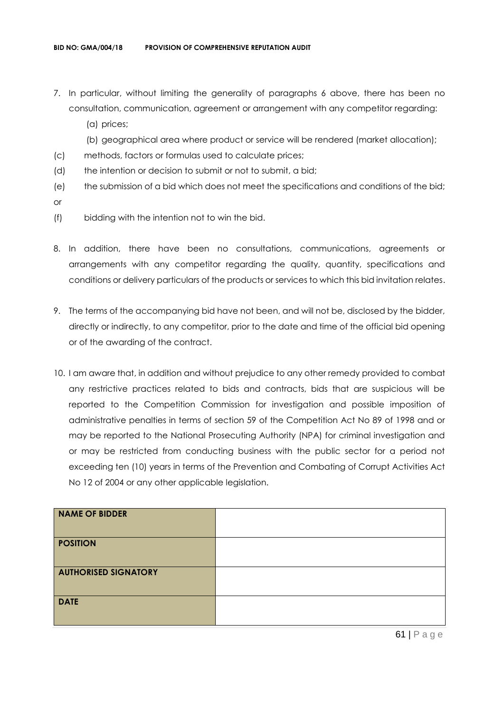- 7. In particular, without limiting the generality of paragraphs 6 above, there has been no consultation, communication, agreement or arrangement with any competitor regarding:
	- (a) prices;
	- (b) geographical area where product or service will be rendered (market allocation);
- (c) methods, factors or formulas used to calculate prices;
- (d) the intention or decision to submit or not to submit, a bid;
- (e) the submission of a bid which does not meet the specifications and conditions of the bid; or
- (f) bidding with the intention not to win the bid.
- 8. In addition, there have been no consultations, communications, agreements or arrangements with any competitor regarding the quality, quantity, specifications and conditions or delivery particulars of the products or services to which this bid invitation relates.
- 9. The terms of the accompanying bid have not been, and will not be, disclosed by the bidder, directly or indirectly, to any competitor, prior to the date and time of the official bid opening or of the awarding of the contract.
- 10. I am aware that, in addition and without prejudice to any other remedy provided to combat any restrictive practices related to bids and contracts, bids that are suspicious will be reported to the Competition Commission for investigation and possible imposition of administrative penalties in terms of section 59 of the Competition Act No 89 of 1998 and or may be reported to the National Prosecuting Authority (NPA) for criminal investigation and or may be restricted from conducting business with the public sector for a period not exceeding ten (10) years in terms of the Prevention and Combating of Corrupt Activities Act No 12 of 2004 or any other applicable legislation.

| <b>NAME OF BIDDER</b>       |  |
|-----------------------------|--|
| <b>POSITION</b>             |  |
| <b>AUTHORISED SIGNATORY</b> |  |
| <b>DATE</b>                 |  |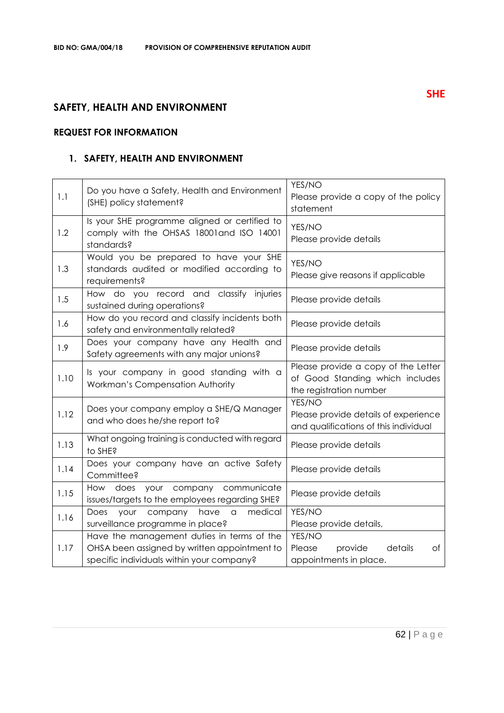## **SAFETY, HEALTH AND ENVIRONMENT**

## **REQUEST FOR INFORMATION**

## **1. SAFETY, HEALTH AND ENVIRONMENT**

| 1.1  | Do you have a Safety, Health and Environment<br>(SHE) policy statement?                                                                 | YES/NO<br>Please provide a copy of the policy<br>statement                                        |
|------|-----------------------------------------------------------------------------------------------------------------------------------------|---------------------------------------------------------------------------------------------------|
| 1.2  | Is your SHE programme aligned or certified to<br>comply with the OHSAS 18001 and ISO 14001<br>standards?                                | YES/NO<br>Please provide details                                                                  |
| 1.3  | Would you be prepared to have your SHE<br>standards audited or modified according to<br>requirements?                                   | YES/NO<br>Please give reasons if applicable                                                       |
| 1.5  | How do you record and classify injuries<br>sustained during operations?                                                                 | Please provide details                                                                            |
| 1.6  | How do you record and classify incidents both<br>safety and environmentally related?                                                    | Please provide details                                                                            |
| 1.9  | Does your company have any Health and<br>Safety agreements with any major unions?                                                       | Please provide details                                                                            |
| 1.10 | Is your company in good standing with a<br>Workman's Compensation Authority                                                             | Please provide a copy of the Letter<br>of Good Standing which includes<br>the registration number |
| 1.12 | Does your company employ a SHE/Q Manager<br>and who does he/she report to?                                                              | YES/NO<br>Please provide details of experience<br>and qualifications of this individual           |
| 1.13 | What ongoing training is conducted with regard<br>to SHE?                                                                               | Please provide details                                                                            |
| 1.14 | Does your company have an active Safety<br>Committee?                                                                                   | Please provide details                                                                            |
| 1.15 | How does your company communicate<br>issues/targets to the employees regarding SHE?                                                     | Please provide details                                                                            |
| 1.16 | medical<br>Does<br>company<br>have<br>your<br>$\hbox{\tt\small{a}}$<br>surveillance programme in place?                                 | YES/NO<br>Please provide details,                                                                 |
| 1.17 | Have the management duties in terms of the<br>OHSA been assigned by written appointment to<br>specific individuals within your company? | YES/NO<br>Please<br>details<br>provide<br>Оf<br>appointments in place.                            |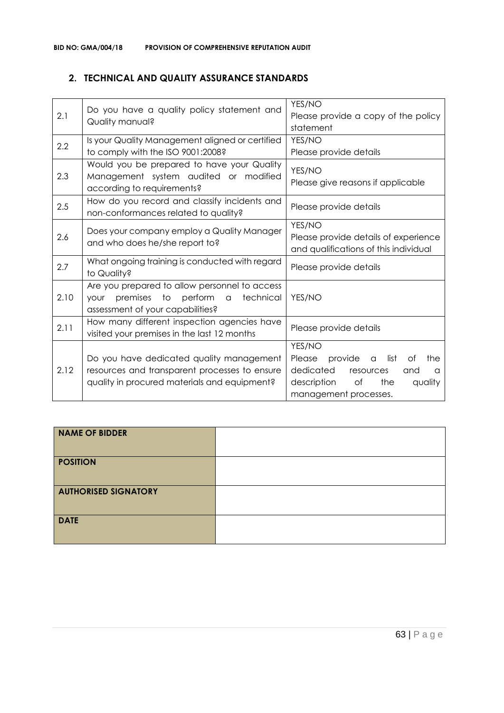## **2. TECHNICAL AND QUALITY ASSURANCE STANDARDS**

| 2.1  | Do you have a quality policy statement and<br>Quality manual?                                                                                    | YES/NO<br>Please provide a copy of the policy<br>statement                                                                                                  |
|------|--------------------------------------------------------------------------------------------------------------------------------------------------|-------------------------------------------------------------------------------------------------------------------------------------------------------------|
| 2.2  | Is your Quality Management aligned or certified<br>to comply with the ISO 9001:2008?                                                             | YES/NO<br>Please provide details                                                                                                                            |
| 2.3  | Would you be prepared to have your Quality<br>Management system audited or modified<br>according to requirements?                                | YES/NO<br>Please give reasons if applicable                                                                                                                 |
| 2.5  | How do you record and classify incidents and<br>non-conformances related to quality?                                                             | Please provide details                                                                                                                                      |
| 2.6  | Does your company employ a Quality Manager<br>and who does he/she report to?                                                                     | YES/NO<br>Please provide details of experience<br>and qualifications of this individual                                                                     |
| 2.7  | What ongoing training is conducted with regard<br>to Quality?                                                                                    | Please provide details                                                                                                                                      |
| 2.10 | Are you prepared to allow personnel to access<br>premises to perform<br>technical<br>$\alpha$<br><b>your</b><br>assessment of your capabilities? | YES/NO                                                                                                                                                      |
| 2.11 | How many different inspection agencies have<br>visited your premises in the last 12 months                                                       | Please provide details                                                                                                                                      |
| 2.12 | Do you have dedicated quality management<br>resources and transparent processes to ensure<br>quality in procured materials and equipment?        | YES/NO<br>provide<br>list<br>Please<br>Оf<br>the<br>a<br>dedicated<br>resources<br>and<br>a<br>description<br>of<br>the<br>quality<br>management processes. |

| NAME OF BIDDER              |  |
|-----------------------------|--|
| <b>POSITION</b>             |  |
| <b>AUTHORISED SIGNATORY</b> |  |
| <b>DATE</b>                 |  |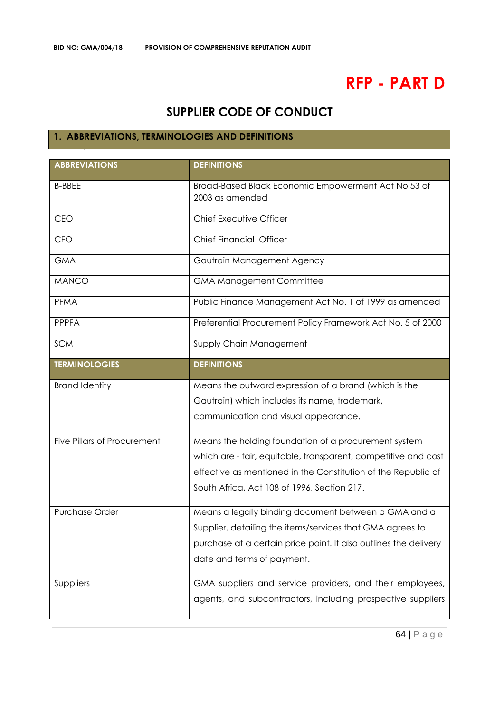# **RFP - PART D**

# **SUPPLIER CODE OF CONDUCT**

## **1. ABBREVIATIONS, TERMINOLOGIES AND DEFINITIONS**

| <b>ABBREVIATIONS</b>               | <b>DEFINITIONS</b>                                                     |
|------------------------------------|------------------------------------------------------------------------|
| <b>B-BBEE</b>                      | Broad-Based Black Economic Empowerment Act No 53 of<br>2003 as amended |
| <b>CEO</b>                         | Chief Executive Officer                                                |
| <b>CFO</b>                         | Chief Financial Officer                                                |
| <b>GMA</b>                         | Gautrain Management Agency                                             |
| <b>MANCO</b>                       | <b>GMA Management Committee</b>                                        |
| <b>PFMA</b>                        | Public Finance Management Act No. 1 of 1999 as amended                 |
| <b>PPPFA</b>                       | Preferential Procurement Policy Framework Act No. 5 of 2000            |
| <b>SCM</b>                         | Supply Chain Management                                                |
| <b>TERMINOLOGIES</b>               | <b>DEFINITIONS</b>                                                     |
| <b>Brand Identity</b>              | Means the outward expression of a brand (which is the                  |
|                                    | Gautrain) which includes its name, trademark,                          |
|                                    | communication and visual appearance.                                   |
| <b>Five Pillars of Procurement</b> | Means the holding foundation of a procurement system                   |
|                                    | which are - fair, equitable, transparent, competitive and cost         |
|                                    | effective as mentioned in the Constitution of the Republic of          |
|                                    | South Africa, Act 108 of 1996, Section 217.                            |
| Purchase Order                     | Means a legally binding document between a GMA and a                   |
|                                    | Supplier, detailing the items/services that GMA agrees to              |
|                                    | purchase at a certain price point. It also outlines the delivery       |
|                                    | date and terms of payment.                                             |
| Suppliers                          | GMA suppliers and service providers, and their employees,              |
|                                    | agents, and subcontractors, including prospective suppliers            |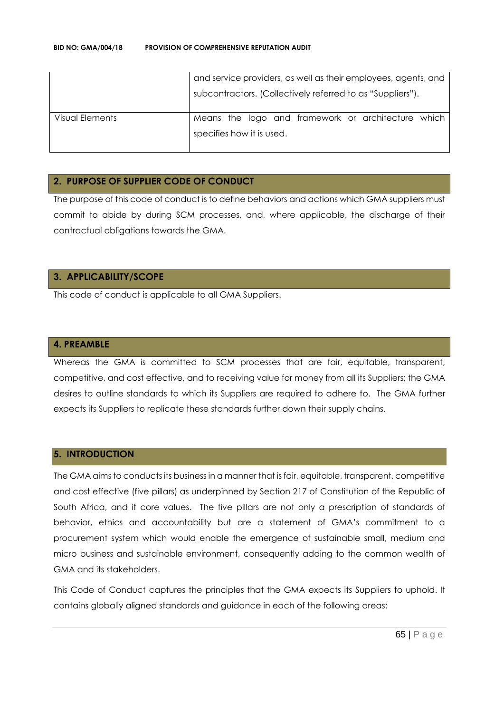|                 | and service providers, as well as their employees, agents, and |
|-----------------|----------------------------------------------------------------|
|                 | subcontractors. (Collectively referred to as "Suppliers").     |
| Visual Elements | Means the logo and framework or architecture which             |
|                 | specifies how it is used.                                      |
|                 |                                                                |

## **2. PURPOSE OF SUPPLIER CODE OF CONDUCT**

The purpose of this code of conduct is to define behaviors and actions which GMA suppliers must commit to abide by during SCM processes, and, where applicable, the discharge of their contractual obligations towards the GMA.

## **3. APPLICABILITY/SCOPE**

This code of conduct is applicable to all GMA Suppliers.

#### **4. PREAMBLE**

Whereas the GMA is committed to SCM processes that are fair, equitable, transparent, competitive, and cost effective, and to receiving value for money from all its Suppliers; the GMA desires to outline standards to which its Suppliers are required to adhere to. The GMA further expects its Suppliers to replicate these standards further down their supply chains.

#### **5. INTRODUCTION**

The GMA aims to conducts its business in a manner that is fair, equitable, transparent, competitive and cost effective (five pillars) as underpinned by Section 217 of Constitution of the Republic of South Africa, and it core values. The five pillars are not only a prescription of standards of behavior, ethics and accountability but are a statement of GMA's commitment to a procurement system which would enable the emergence of sustainable small, medium and micro business and sustainable environment, consequently adding to the common wealth of GMA and its stakeholders.

This Code of Conduct captures the principles that the GMA expects its Suppliers to uphold. It contains globally aligned standards and guidance in each of the following areas: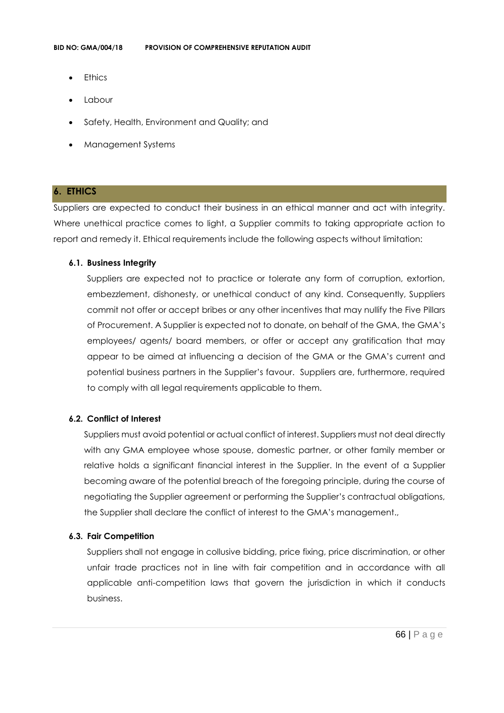- **Ethics**
- Labour
- Safety, Health, Environment and Quality; and
- Management Systems

## **6. ETHICS**

Suppliers are expected to conduct their business in an ethical manner and act with integrity. Where unethical practice comes to light, a Supplier commits to taking appropriate action to report and remedy it. Ethical requirements include the following aspects without limitation:

#### **6.1. Business Integrity**

Suppliers are expected not to practice or tolerate any form of corruption, extortion, embezzlement, dishonesty, or unethical conduct of any kind. Consequently, Suppliers commit not offer or accept bribes or any other incentives that may nullify the Five Pillars of Procurement. A Supplier is expected not to donate, on behalf of the GMA, the GMA's employees/ agents/ board members, or offer or accept any gratification that may appear to be aimed at influencing a decision of the GMA or the GMA's current and potential business partners in the Supplier's favour. Suppliers are, furthermore, required to comply with all legal requirements applicable to them.

## **6.2. Conflict of Interest**

Suppliers must avoid potential or actual conflict of interest. Suppliers must not deal directly with any GMA employee whose spouse, domestic partner, or other family member or relative holds a significant financial interest in the Supplier. In the event of a Supplier becoming aware of the potential breach of the foregoing principle, during the course of negotiating the Supplier agreement or performing the Supplier's contractual obligations, the Supplier shall declare the conflict of interest to the GMA's management.,

## **6.3. Fair Competition**

Suppliers shall not engage in collusive bidding, price fixing, price discrimination, or other unfair trade practices not in line with fair competition and in accordance with all applicable anti-competition laws that govern the jurisdiction in which it conducts business.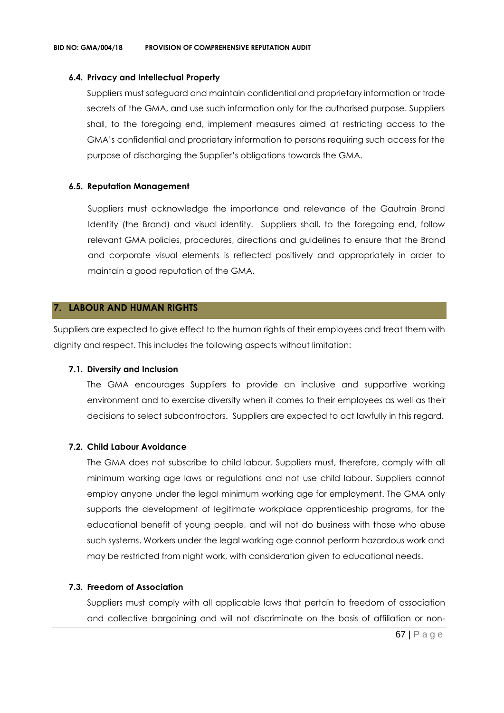#### **6.4. Privacy and Intellectual Property**

Suppliers must safeguard and maintain confidential and proprietary information or trade secrets of the GMA, and use such information only for the authorised purpose. Suppliers shall, to the foregoing end, implement measures aimed at restricting access to the GMA's confidential and proprietary information to persons requiring such access for the purpose of discharging the Supplier's obligations towards the GMA.

#### **6.5. Reputation Management**

Suppliers must acknowledge the importance and relevance of the Gautrain Brand Identity (the Brand) and visual identity. Suppliers shall, to the foregoing end, follow relevant GMA policies, procedures, directions and guidelines to ensure that the Brand and corporate visual elements is reflected positively and appropriately in order to maintain a good reputation of the GMA.

#### **7. LABOUR AND HUMAN RIGHTS**

Suppliers are expected to give effect to the human rights of their employees and treat them with dignity and respect. This includes the following aspects without limitation:

#### **7.1. Diversity and Inclusion**

The GMA encourages Suppliers to provide an inclusive and supportive working environment and to exercise diversity when it comes to their employees as well as their decisions to select subcontractors. Suppliers are expected to act lawfully in this regard.

#### **7.2. Child Labour Avoidance**

The GMA does not subscribe to child labour. Suppliers must, therefore, comply with all minimum working age laws or regulations and not use child labour. Suppliers cannot employ anyone under the legal minimum working age for employment. The GMA only supports the development of legitimate workplace apprenticeship programs, for the educational benefit of young people, and will not do business with those who abuse such systems. Workers under the legal working age cannot perform hazardous work and may be restricted from night work, with consideration given to educational needs.

#### **7.3. Freedom of Association**

Suppliers must comply with all applicable laws that pertain to freedom of association and collective bargaining and will not discriminate on the basis of affiliation or non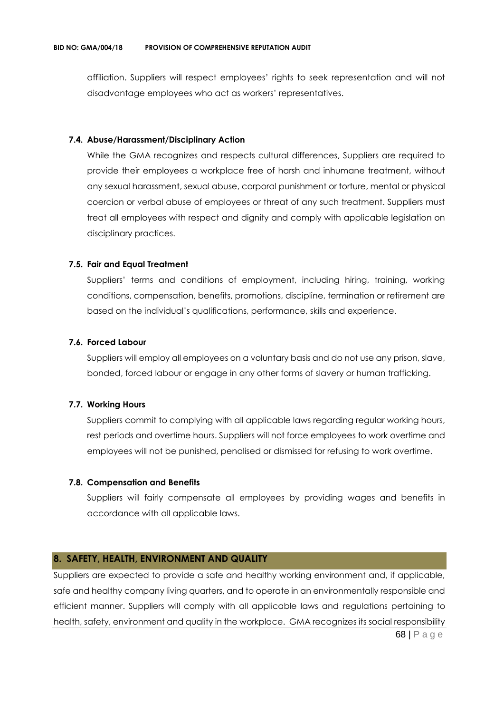affiliation. Suppliers will respect employees' rights to seek representation and will not disadvantage employees who act as workers' representatives.

#### **7.4. Abuse/Harassment/Disciplinary Action**

While the GMA recognizes and respects cultural differences, Suppliers are required to provide their employees a workplace free of harsh and inhumane treatment, without any sexual harassment, sexual abuse, corporal punishment or torture, mental or physical coercion or verbal abuse of employees or threat of any such treatment. Suppliers must treat all employees with respect and dignity and comply with applicable legislation on disciplinary practices.

## **7.5. Fair and Equal Treatment**

Suppliers' terms and conditions of employment, including hiring, training, working conditions, compensation, benefits, promotions, discipline, termination or retirement are based on the individual's qualifications, performance, skills and experience.

#### **7.6. Forced Labour**

Suppliers will employ all employees on a voluntary basis and do not use any prison, slave, bonded, forced labour or engage in any other forms of slavery or human trafficking.

## **7.7. Working Hours**

Suppliers commit to complying with all applicable laws regarding regular working hours, rest periods and overtime hours. Suppliers will not force employees to work overtime and employees will not be punished, penalised or dismissed for refusing to work overtime.

#### **7.8. Compensation and Benefits**

Suppliers will fairly compensate all employees by providing wages and benefits in accordance with all applicable laws.

## **8. SAFETY, HEALTH, ENVIRONMENT AND QUALITY**

68 | P a g e Suppliers are expected to provide a safe and healthy working environment and, if applicable, safe and healthy company living quarters, and to operate in an environmentally responsible and efficient manner. Suppliers will comply with all applicable laws and regulations pertaining to health, safety, environment and quality in the workplace. GMA recognizes its social responsibility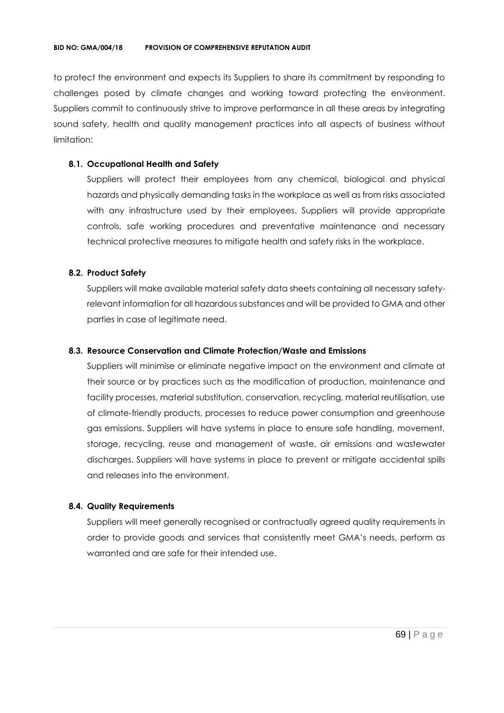to protect the environment and expects its Suppliers to share its commitment by responding to challenges posed by climate changes and working toward protecting the environment. Suppliers commit to continuously strive to improve performance in all these areas by integrating sound safety, health and quality management practices into all aspects of business without limitation:

## **8.1. Occupational Health and Safety**

Suppliers will protect their employees from any chemical, biological and physical hazards and physically demanding tasks in the workplace as well as from risks associated with any infrastructure used by their employees. Suppliers will provide appropriate controls, safe working procedures and preventative maintenance and necessary technical protective measures to mitigate health and safety risks in the workplace.

## **8.2. Product Safety**

Suppliers will make available material safety data sheets containing all necessary safetyrelevant information for all hazardous substances and will be provided to GMA and other parties in case of legitimate need.

## **8.3. Resource Conservation and Climate Protection/Waste and Emissions**

Suppliers will minimise or eliminate negative impact on the environment and climate at their source or by practices such as the modification of production, maintenance and facility processes, material substitution, conservation, recycling, material reutilisation, use of climate-friendly products, processes to reduce power consumption and greenhouse gas emissions. Suppliers will have systems in place to ensure safe handling, movement, storage, recycling, reuse and management of waste, air emissions and wastewater discharges. Suppliers will have systems in place to prevent or mitigate accidental spills and releases into the environment.

## **8.4. Quality Requirements**

Suppliers will meet generally recognised or contractually agreed quality requirements in order to provide goods and services that consistently meet GMA's needs, perform as warranted and are safe for their intended use.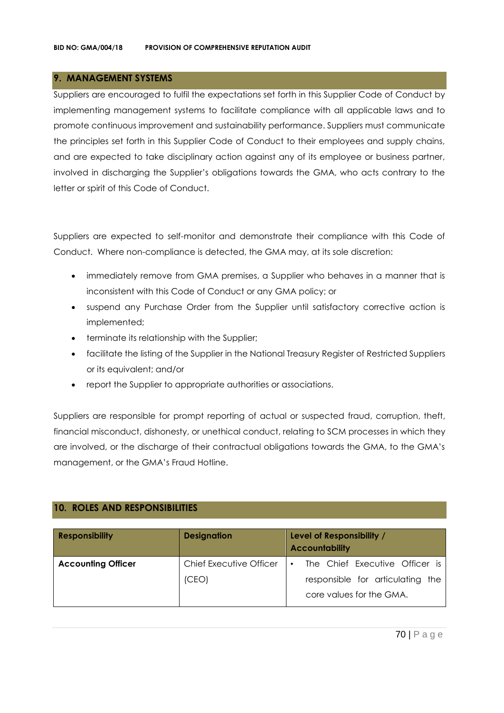## **9. MANAGEMENT SYSTEMS**

Suppliers are encouraged to fulfil the expectations set forth in this Supplier Code of Conduct by implementing management systems to facilitate compliance with all applicable laws and to promote continuous improvement and sustainability performance. Suppliers must communicate the principles set forth in this Supplier Code of Conduct to their employees and supply chains, and are expected to take disciplinary action against any of its employee or business partner, involved in discharging the Supplier's obligations towards the GMA, who acts contrary to the letter or spirit of this Code of Conduct.

Suppliers are expected to self-monitor and demonstrate their compliance with this Code of Conduct. Where non-compliance is detected, the GMA may, at its sole discretion:

- immediately remove from GMA premises, a Supplier who behaves in a manner that is inconsistent with this Code of Conduct or any GMA policy; or
- suspend any Purchase Order from the Supplier until satisfactory corrective action is implemented;
- terminate its relationship with the Supplier;
- facilitate the listing of the Supplier in the National Treasury Register of Restricted Suppliers or its equivalent; and/or
- report the Supplier to appropriate authorities or associations.

Suppliers are responsible for prompt reporting of actual or suspected fraud, corruption, theft, financial misconduct, dishonesty, or unethical conduct, relating to SCM processes in which they are involved, or the discharge of their contractual obligations towards the GMA, to the GMA's management, or the GMA's Fraud Hotline.

## **10. ROLES AND RESPONSIBILITIES**

| <b>Responsibility</b>     | <b>Designation</b>      | Level of Responsibility /<br><b>Accountability</b>           |
|---------------------------|-------------------------|--------------------------------------------------------------|
| <b>Accounting Officer</b> | Chief Executive Officer | The Chief Executive Officer is<br>$\bullet$                  |
|                           | (CEO)                   | responsible for articulating the<br>core values for the GMA. |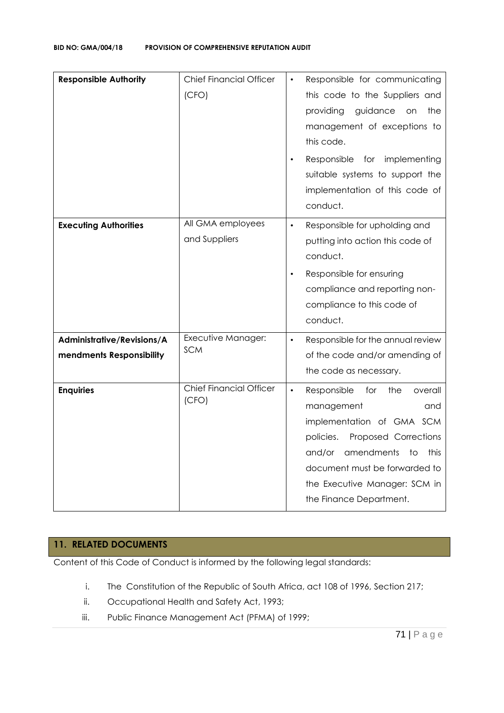| <b>Responsible Authority</b>                           | <b>Chief Financial Officer</b><br>(CFO) | Responsible for communicating<br>$\bullet$<br>this code to the Suppliers and<br>guidance<br>providing<br>the<br>on<br>management of exceptions to<br>this code.<br>Responsible for implementing<br>suitable systems to support the<br>implementation of this code of<br>conduct. |
|--------------------------------------------------------|-----------------------------------------|----------------------------------------------------------------------------------------------------------------------------------------------------------------------------------------------------------------------------------------------------------------------------------|
| <b>Executing Authorities</b>                           | All GMA employees<br>and Suppliers      | Responsible for upholding and<br>$\bullet$<br>putting into action this code of<br>conduct.<br>Responsible for ensuring<br>$\bullet$<br>compliance and reporting non-<br>compliance to this code of<br>conduct.                                                                   |
| Administrative/Revisions/A<br>mendments Responsibility | Executive Manager:<br><b>SCM</b>        | Responsible for the annual review<br>$\bullet$<br>of the code and/or amending of<br>the code as necessary.                                                                                                                                                                       |
| <b>Enquiries</b>                                       | <b>Chief Financial Officer</b><br>(CFO) | $\bullet$<br>Responsible<br>for<br>the<br>overall<br>management<br>and<br>implementation of GMA SCM<br>Proposed Corrections<br>policies.<br>amendments<br>and/or<br>to<br>this<br>document must be forwarded to<br>the Executive Manager: SCM in<br>the Finance Department.      |

## **11. RELATED DOCUMENTS**

Content of this Code of Conduct is informed by the following legal standards:

- i. The Constitution of the Republic of South Africa, act 108 of 1996, Section 217;
- ii. Occupational Health and Safety Act, 1993;
- iii. Public Finance Management Act (PFMA) of 1999;